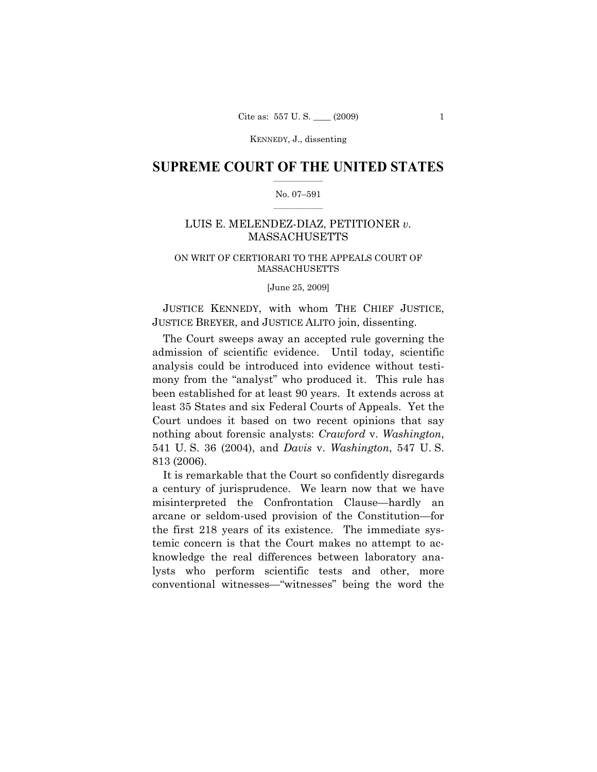## **SUPREME COURT OF THE UNITED STATES**  $\frac{1}{2}$  ,  $\frac{1}{2}$  ,  $\frac{1}{2}$  ,  $\frac{1}{2}$  ,  $\frac{1}{2}$  ,  $\frac{1}{2}$  ,  $\frac{1}{2}$

### No. 07–591  $\frac{1}{2}$  ,  $\frac{1}{2}$  ,  $\frac{1}{2}$  ,  $\frac{1}{2}$  ,  $\frac{1}{2}$  ,  $\frac{1}{2}$

# LUIS E. MELENDEZ-DIAZ, PETITIONER *v.* MASSACHUSETTS

## ON WRIT OF CERTIORARI TO THE APPEALS COURT OF MASSACHUSETTS

#### [June 25, 2009]

 JUSTICE KENNEDY, with whom THE CHIEF JUSTICE, JUSTICE BREYER, and JUSTICE ALITO join, dissenting.

 The Court sweeps away an accepted rule governing the admission of scientific evidence. Until today, scientific analysis could be introduced into evidence without testimony from the "analyst" who produced it. This rule has been established for at least 90 years. It extends across at least 35 States and six Federal Courts of Appeals. Yet the Court undoes it based on two recent opinions that say nothing about forensic analysts: *Crawford* v. *Washington*, 541 U. S. 36 (2004), and *Davis* v. *Washington*, 547 U. S. 813 (2006).

 It is remarkable that the Court so confidently disregards a century of jurisprudence. We learn now that we have misinterpreted the Confrontation Clause—hardly an arcane or seldom-used provision of the Constitution—for the first 218 years of its existence. The immediate systemic concern is that the Court makes no attempt to acknowledge the real differences between laboratory analysts who perform scientific tests and other, more conventional witnesses—"witnesses" being the word the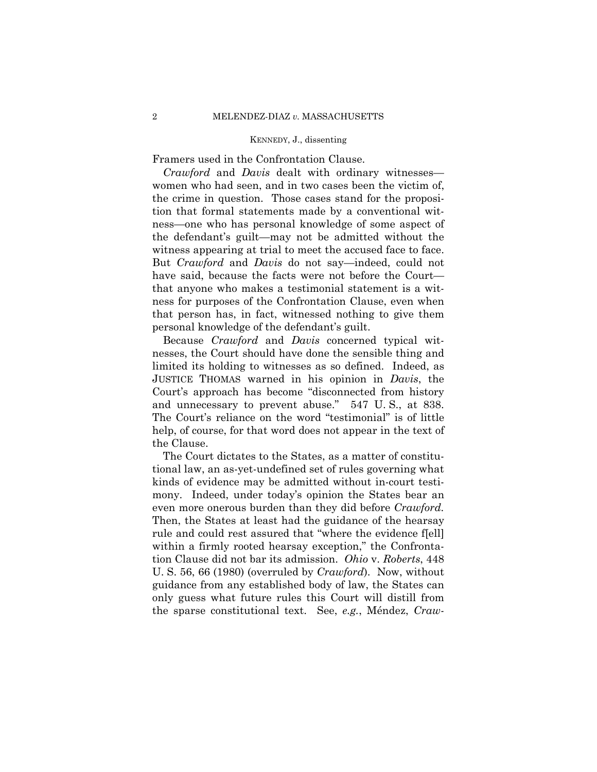Framers used in the Confrontation Clause.

*Crawford* and *Davis* dealt with ordinary witnesses women who had seen, and in two cases been the victim of, the crime in question. Those cases stand for the proposition that formal statements made by a conventional witness—one who has personal knowledge of some aspect of the defendant's guilt—may not be admitted without the witness appearing at trial to meet the accused face to face. But *Crawford* and *Davis* do not say—indeed, could not have said, because the facts were not before the Court that anyone who makes a testimonial statement is a witness for purposes of the Confrontation Clause, even when that person has, in fact, witnessed nothing to give them personal knowledge of the defendant's guilt.

 Because *Crawford* and *Davis* concerned typical witnesses, the Court should have done the sensible thing and limited its holding to witnesses as so defined. Indeed, as JUSTICE THOMAS warned in his opinion in *Davis*, the Court's approach has become "disconnected from history and unnecessary to prevent abuse." 547 U. S., at 838. The Court's reliance on the word "testimonial" is of little help, of course, for that word does not appear in the text of the Clause.

 The Court dictates to the States, as a matter of constitutional law, an as-yet-undefined set of rules governing what kinds of evidence may be admitted without in-court testimony. Indeed, under today's opinion the States bear an even more onerous burden than they did before *Crawford.*  Then, the States at least had the guidance of the hearsay rule and could rest assured that "where the evidence f[ell] within a firmly rooted hearsay exception," the Confrontation Clause did not bar its admission. *Ohio* v. *Roberts*, 448 U. S. 56, 66 (1980) (overruled by *Crawford*). Now, without guidance from any established body of law, the States can only guess what future rules this Court will distill from the sparse constitutional text. See, *e.g.*, Méndez, *Craw-*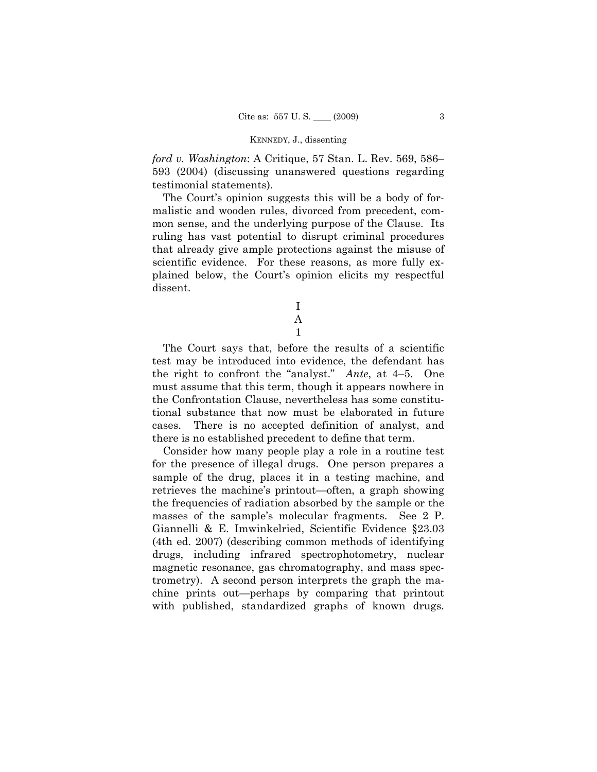*ford v. Washington*: A Critique, 57 Stan. L. Rev. 569, 586– 593 (2004) (discussing unanswered questions regarding testimonial statements).

 The Court's opinion suggests this will be a body of formalistic and wooden rules, divorced from precedent, common sense, and the underlying purpose of the Clause. Its ruling has vast potential to disrupt criminal procedures that already give ample protections against the misuse of scientific evidence. For these reasons, as more fully explained below, the Court's opinion elicits my respectful dissent.

 The Court says that, before the results of a scientific test may be introduced into evidence, the defendant has the right to confront the "analyst." *Ante*, at 4–5. One must assume that this term, though it appears nowhere in the Confrontation Clause, nevertheless has some constitutional substance that now must be elaborated in future cases. There is no accepted definition of analyst, and there is no established precedent to define that term.

 Consider how many people play a role in a routine test for the presence of illegal drugs. One person prepares a sample of the drug, places it in a testing machine, and retrieves the machine's printout—often, a graph showing the frequencies of radiation absorbed by the sample or the masses of the sample's molecular fragments. See 2 P. Giannelli & E. Imwinkelried, Scientific Evidence §23.03 (4th ed. 2007) (describing common methods of identifying drugs, including infrared spectrophotometry, nuclear magnetic resonance, gas chromatography, and mass spectrometry). A second person interprets the graph the machine prints out—perhaps by comparing that printout with published, standardized graphs of known drugs.

I A 1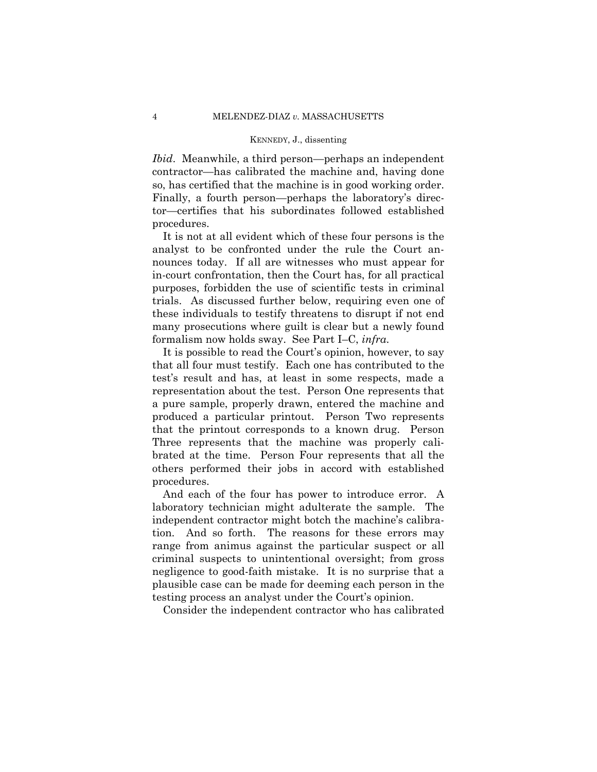*Ibid*. Meanwhile, a third person—perhaps an independent contractor—has calibrated the machine and, having done so, has certified that the machine is in good working order. Finally, a fourth person—perhaps the laboratory's director—certifies that his subordinates followed established procedures.

 It is not at all evident which of these four persons is the analyst to be confronted under the rule the Court announces today. If all are witnesses who must appear for in-court confrontation, then the Court has, for all practical purposes, forbidden the use of scientific tests in criminal trials. As discussed further below, requiring even one of these individuals to testify threatens to disrupt if not end many prosecutions where guilt is clear but a newly found formalism now holds sway. See Part I–C, *infra*.

 It is possible to read the Court's opinion, however, to say that all four must testify. Each one has contributed to the test's result and has, at least in some respects, made a representation about the test. Person One represents that a pure sample, properly drawn, entered the machine and produced a particular printout. Person Two represents that the printout corresponds to a known drug. Person Three represents that the machine was properly calibrated at the time. Person Four represents that all the others performed their jobs in accord with established procedures.

 And each of the four has power to introduce error. A laboratory technician might adulterate the sample. The independent contractor might botch the machine's calibration. And so forth. The reasons for these errors may range from animus against the particular suspect or all criminal suspects to unintentional oversight; from gross negligence to good-faith mistake. It is no surprise that a plausible case can be made for deeming each person in the testing process an analyst under the Court's opinion.

Consider the independent contractor who has calibrated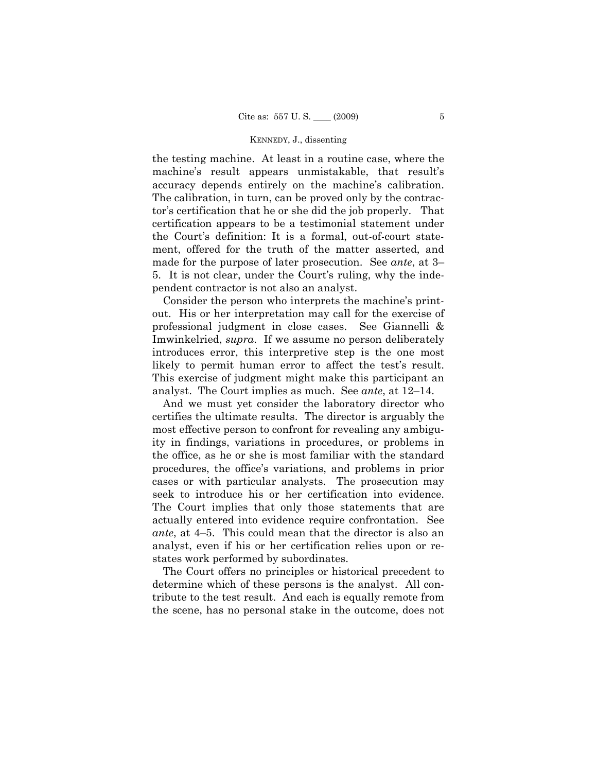the testing machine. At least in a routine case, where the machine's result appears unmistakable, that result's accuracy depends entirely on the machine's calibration. The calibration, in turn, can be proved only by the contractor's certification that he or she did the job properly. That certification appears to be a testimonial statement under the Court's definition: It is a formal, out-of-court statement, offered for the truth of the matter asserted, and made for the purpose of later prosecution. See *ante*, at 3– 5. It is not clear, under the Court's ruling, why the independent contractor is not also an analyst.

 Consider the person who interprets the machine's printout. His or her interpretation may call for the exercise of professional judgment in close cases. See Giannelli & Imwinkelried, *supra*. If we assume no person deliberately introduces error, this interpretive step is the one most likely to permit human error to affect the test's result. This exercise of judgment might make this participant an analyst. The Court implies as much. See *ante*, at 12–14.

 And we must yet consider the laboratory director who certifies the ultimate results. The director is arguably the most effective person to confront for revealing any ambiguity in findings, variations in procedures, or problems in the office, as he or she is most familiar with the standard procedures, the office's variations, and problems in prior cases or with particular analysts. The prosecution may seek to introduce his or her certification into evidence. The Court implies that only those statements that are actually entered into evidence require confrontation. See *ante*, at 4–5. This could mean that the director is also an analyst, even if his or her certification relies upon or restates work performed by subordinates.

 The Court offers no principles or historical precedent to determine which of these persons is the analyst. All contribute to the test result. And each is equally remote from the scene, has no personal stake in the outcome, does not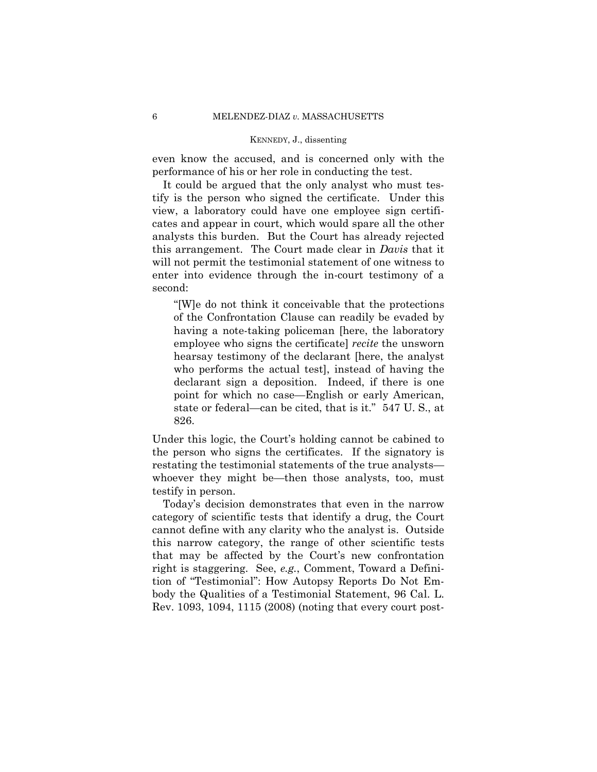even know the accused, and is concerned only with the performance of his or her role in conducting the test.

 It could be argued that the only analyst who must testify is the person who signed the certificate. Under this view, a laboratory could have one employee sign certificates and appear in court, which would spare all the other analysts this burden. But the Court has already rejected this arrangement. The Court made clear in *Davis* that it will not permit the testimonial statement of one witness to enter into evidence through the in-court testimony of a second:

"[W]e do not think it conceivable that the protections of the Confrontation Clause can readily be evaded by having a note-taking policeman [here, the laboratory employee who signs the certificate] *recite* the unsworn hearsay testimony of the declarant [here, the analyst who performs the actual test], instead of having the declarant sign a deposition. Indeed, if there is one point for which no case—English or early American, state or federal—can be cited, that is it." 547 U. S., at 826.

Under this logic, the Court's holding cannot be cabined to the person who signs the certificates. If the signatory is restating the testimonial statements of the true analysts whoever they might be—then those analysts, too, must testify in person.

 Today's decision demonstrates that even in the narrow category of scientific tests that identify a drug, the Court cannot define with any clarity who the analyst is. Outside this narrow category, the range of other scientific tests that may be affected by the Court's new confrontation right is staggering. See, *e.g.*, Comment, Toward a Definition of "Testimonial": How Autopsy Reports Do Not Embody the Qualities of a Testimonial Statement, 96 Cal. L. Rev. 1093, 1094, 1115 (2008) (noting that every court post-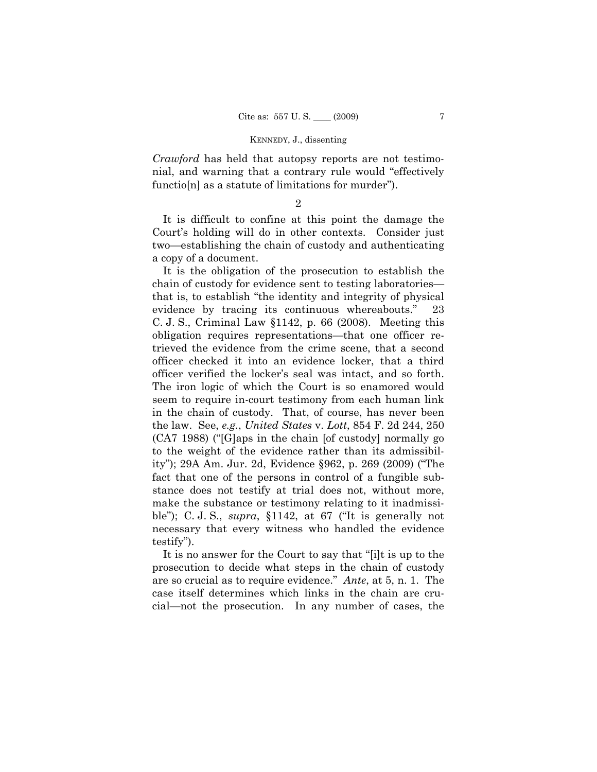*Crawford* has held that autopsy reports are not testimonial, and warning that a contrary rule would "effectively functio[n] as a statute of limitations for murder").

2

 It is difficult to confine at this point the damage the Court's holding will do in other contexts. Consider just two—establishing the chain of custody and authenticating a copy of a document.

 It is the obligation of the prosecution to establish the chain of custody for evidence sent to testing laboratories that is, to establish "the identity and integrity of physical evidence by tracing its continuous whereabouts." 23 C. J. S., Criminal Law §1142, p. 66 (2008). Meeting this obligation requires representations—that one officer retrieved the evidence from the crime scene, that a second officer checked it into an evidence locker, that a third officer verified the locker's seal was intact, and so forth. The iron logic of which the Court is so enamored would seem to require in-court testimony from each human link in the chain of custody. That, of course, has never been the law. See, *e.g.*, *United States* v. *Lott*, 854 F. 2d 244, 250 (CA7 1988) ("[G]aps in the chain [of custody] normally go to the weight of the evidence rather than its admissibility"); 29A Am. Jur. 2d, Evidence §962, p. 269 (2009) ("The fact that one of the persons in control of a fungible substance does not testify at trial does not, without more, make the substance or testimony relating to it inadmissible"); C. J. S., *supra*, §1142, at 67 ("It is generally not necessary that every witness who handled the evidence testify").

 It is no answer for the Court to say that "[i]t is up to the prosecution to decide what steps in the chain of custody are so crucial as to require evidence." *Ante*, at 5, n. 1. The case itself determines which links in the chain are crucial—not the prosecution. In any number of cases, the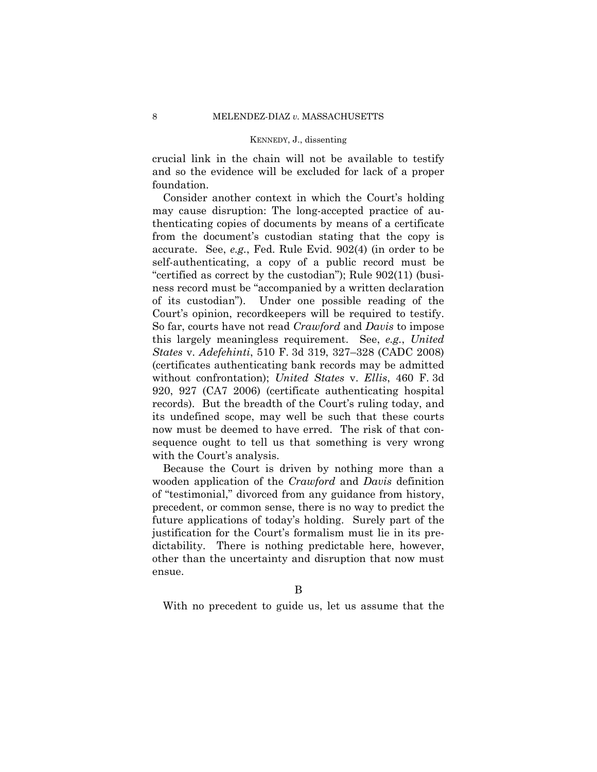crucial link in the chain will not be available to testify and so the evidence will be excluded for lack of a proper foundation.

 Consider another context in which the Court's holding may cause disruption: The long-accepted practice of authenticating copies of documents by means of a certificate from the document's custodian stating that the copy is accurate. See, *e.g.*, Fed. Rule Evid. 902(4) (in order to be self-authenticating, a copy of a public record must be "certified as correct by the custodian"); Rule 902(11) (business record must be "accompanied by a written declaration of its custodian"). Under one possible reading of the Court's opinion, recordkeepers will be required to testify. So far, courts have not read *Crawford* and *Davis* to impose this largely meaningless requirement. See, *e.g.*, *United States* v. *Adefehinti*, 510 F. 3d 319, 327–328 (CADC 2008) (certificates authenticating bank records may be admitted without confrontation); *United States* v. *Ellis*, 460 F. 3d 920, 927 (CA7 2006) (certificate authenticating hospital records). But the breadth of the Court's ruling today, and its undefined scope, may well be such that these courts now must be deemed to have erred. The risk of that consequence ought to tell us that something is very wrong with the Court's analysis.

 Because the Court is driven by nothing more than a wooden application of the *Crawford* and *Davis* definition of "testimonial," divorced from any guidance from history, precedent, or common sense, there is no way to predict the future applications of today's holding. Surely part of the justification for the Court's formalism must lie in its predictability. There is nothing predictable here, however, other than the uncertainty and disruption that now must ensue.

With no precedent to guide us, let us assume that the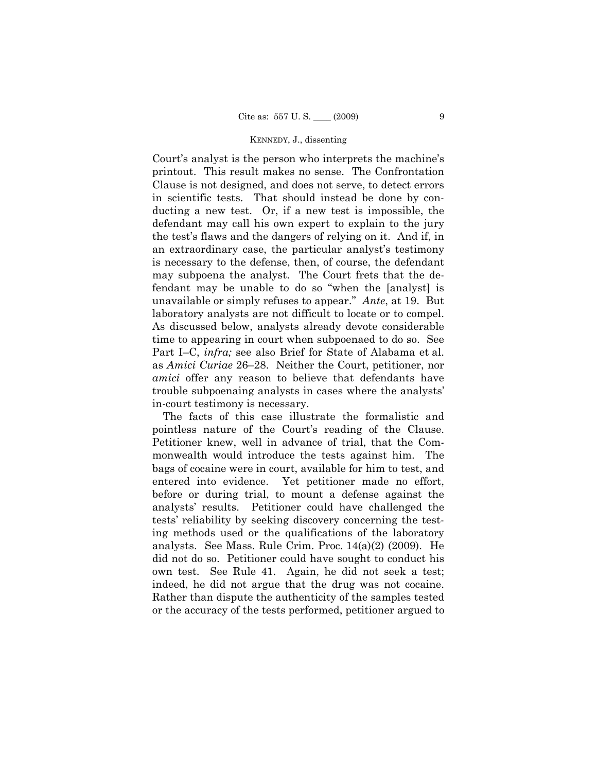Court's analyst is the person who interprets the machine's printout. This result makes no sense. The Confrontation Clause is not designed, and does not serve, to detect errors in scientific tests. That should instead be done by conducting a new test. Or, if a new test is impossible, the defendant may call his own expert to explain to the jury the test's flaws and the dangers of relying on it.And if, in an extraordinary case, the particular analyst's testimony is necessary to the defense, then, of course, the defendant may subpoena the analyst. The Court frets that the defendant may be unable to do so "when the [analyst] is unavailable or simply refuses to appear." *Ante*, at 19. But laboratory analysts are not difficult to locate or to compel. As discussed below, analysts already devote considerable time to appearing in court when subpoenaed to do so. See Part I–C, *infra;* see also Brief for State of Alabama et al. as *Amici Curiae* 26–28. Neither the Court, petitioner, nor *amici* offer any reason to believe that defendants have trouble subpoenaing analysts in cases where the analysts' in-court testimony is necessary.

 The facts of this case illustrate the formalistic and pointless nature of the Court's reading of the Clause. Petitioner knew, well in advance of trial, that the Commonwealth would introduce the tests against him. The bags of cocaine were in court, available for him to test, and entered into evidence. Yet petitioner made no effort, before or during trial, to mount a defense against the analysts' results. Petitioner could have challenged the tests' reliability by seeking discovery concerning the testing methods used or the qualifications of the laboratory analysts. See Mass. Rule Crim. Proc. 14(a)(2) (2009). He did not do so. Petitioner could have sought to conduct his own test. See Rule 41. Again, he did not seek a test; indeed, he did not argue that the drug was not cocaine. Rather than dispute the authenticity of the samples tested or the accuracy of the tests performed, petitioner argued to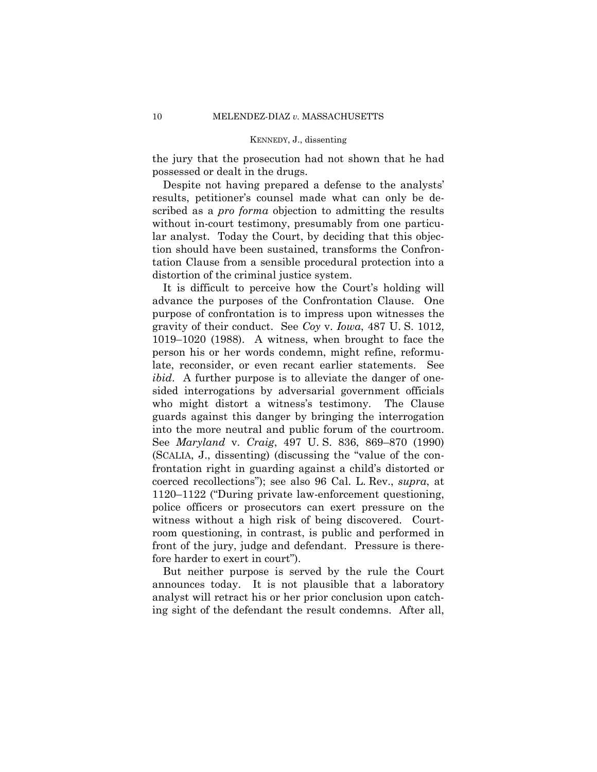the jury that the prosecution had not shown that he had possessed or dealt in the drugs.

 Despite not having prepared a defense to the analysts' results, petitioner's counsel made what can only be described as a *pro forma* objection to admitting the results without in-court testimony, presumably from one particular analyst. Today the Court, by deciding that this objection should have been sustained, transforms the Confrontation Clause from a sensible procedural protection into a distortion of the criminal justice system.

 It is difficult to perceive how the Court's holding will advance the purposes of the Confrontation Clause. One purpose of confrontation is to impress upon witnesses the gravity of their conduct. See *Coy* v. *Iowa*, 487 U. S. 1012, 1019–1020 (1988). A witness, when brought to face the person his or her words condemn, might refine, reformulate, reconsider, or even recant earlier statements. See *ibid*. A further purpose is to alleviate the danger of onesided interrogations by adversarial government officials who might distort a witness's testimony. The Clause guards against this danger by bringing the interrogation into the more neutral and public forum of the courtroom. See *Maryland* v. *Craig*, 497 U. S. 836, 869–870 (1990) (SCALIA, J., dissenting) (discussing the "value of the confrontation right in guarding against a child's distorted or coerced recollections"); see also 96 Cal. L. Rev., *supra*, at 1120–1122 ("During private law-enforcement questioning, police officers or prosecutors can exert pressure on the witness without a high risk of being discovered. Courtroom questioning, in contrast, is public and performed in front of the jury, judge and defendant. Pressure is therefore harder to exert in court").

 But neither purpose is served by the rule the Court announces today. It is not plausible that a laboratory analyst will retract his or her prior conclusion upon catching sight of the defendant the result condemns. After all,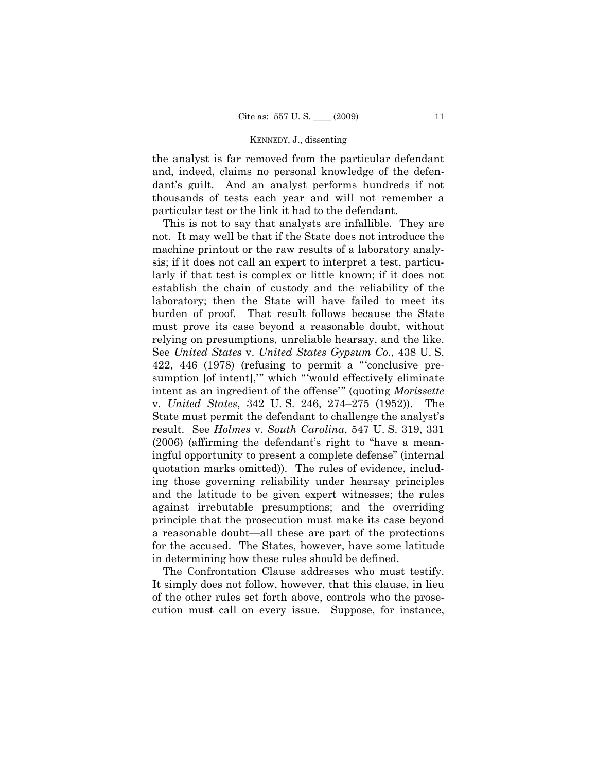the analyst is far removed from the particular defendant and, indeed, claims no personal knowledge of the defendant's guilt. And an analyst performs hundreds if not thousands of tests each year and will not remember a particular test or the link it had to the defendant.

 This is not to say that analysts are infallible. They are not. It may well be that if the State does not introduce the machine printout or the raw results of a laboratory analysis; if it does not call an expert to interpret a test, particularly if that test is complex or little known; if it does not establish the chain of custody and the reliability of the laboratory; then the State will have failed to meet its burden of proof. That result follows because the State must prove its case beyond a reasonable doubt, without relying on presumptions, unreliable hearsay, and the like. See *United States* v. *United States Gypsum Co.*, 438 U. S. 422, 446 (1978) (refusing to permit a "'conclusive presumption [of intent],'" which "'would effectively eliminate intent as an ingredient of the offense'" (quoting *Morissette*  v. *United States*, 342 U. S. 246, 274–275 (1952)). The State must permit the defendant to challenge the analyst's result. See *Holmes* v. *South Carolina*, 547 U. S. 319, 331 (2006) (affirming the defendant's right to "have a meaningful opportunity to present a complete defense" (internal quotation marks omitted)). The rules of evidence, including those governing reliability under hearsay principles and the latitude to be given expert witnesses; the rules against irrebutable presumptions; and the overriding principle that the prosecution must make its case beyond a reasonable doubt—all these are part of the protections for the accused. The States, however, have some latitude in determining how these rules should be defined.

 The Confrontation Clause addresses who must testify. It simply does not follow, however, that this clause, in lieu of the other rules set forth above, controls who the prosecution must call on every issue. Suppose, for instance,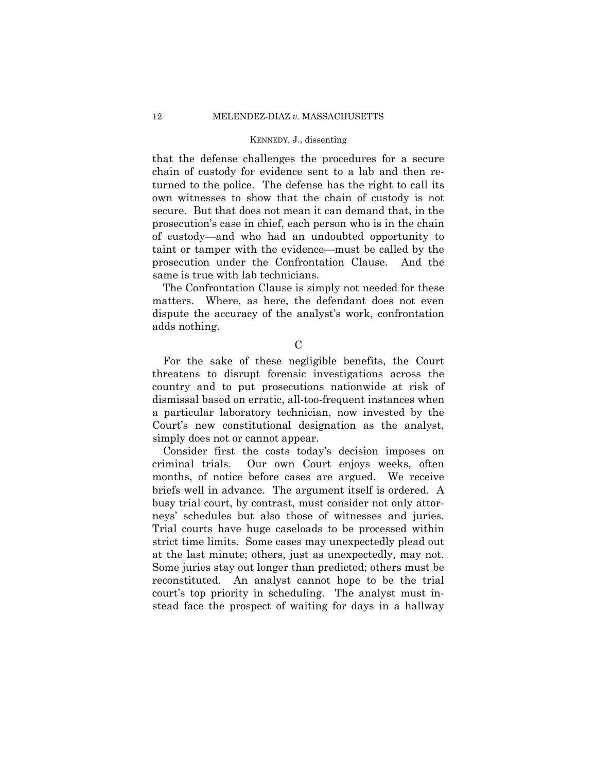that the defense challenges the procedures for a secure chain of custody for evidence sent to a lab and then returned to the police. The defense has the right to call its own witnesses to show that the chain of custody is not secure. But that does not mean it can demand that, in the prosecution's case in chief, each person who is in the chain of custody—and who had an undoubted opportunity to taint or tamper with the evidence—must be called by the prosecution under the Confrontation Clause. And the same is true with lab technicians.

 The Confrontation Clause is simply not needed for these matters. Where, as here, the defendant does not even dispute the accuracy of the analyst's work, confrontation adds nothing.

 $\mathcal{C}$ 

 For the sake of these negligible benefits, the Court threatens to disrupt forensic investigations across the country and to put prosecutions nationwide at risk of dismissal based on erratic, all-too-frequent instances when a particular laboratory technician, now invested by the Court's new constitutional designation as the analyst, simply does not or cannot appear.

 Consider first the costs today's decision imposes on criminal trials. Our own Court enjoys weeks, often months, of notice before cases are argued. We receive briefs well in advance. The argument itself is ordered. A busy trial court, by contrast, must consider not only attorneys' schedules but also those of witnesses and juries. Trial courts have huge caseloads to be processed within strict time limits. Some cases may unexpectedly plead out at the last minute; others, just as unexpectedly, may not. Some juries stay out longer than predicted; others must be reconstituted. An analyst cannot hope to be the trial court's top priority in scheduling. The analyst must instead face the prospect of waiting for days in a hallway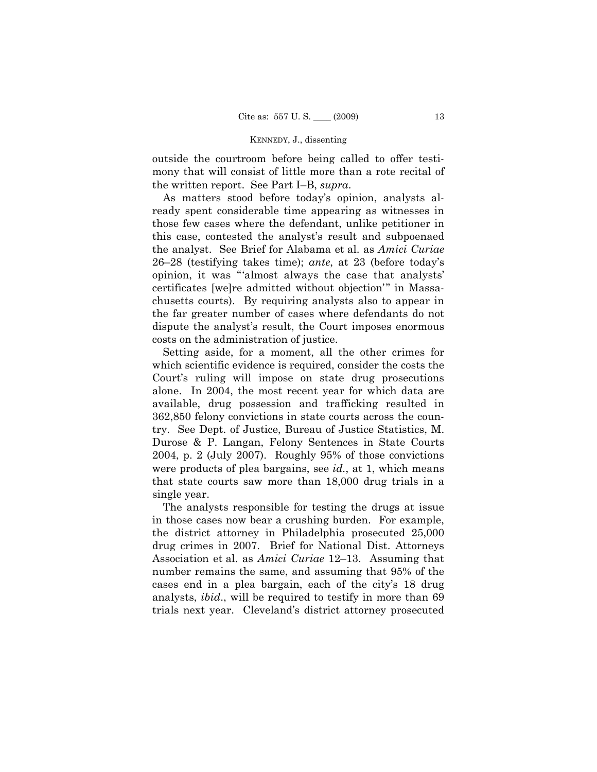outside the courtroom before being called to offer testimony that will consist of little more than a rote recital of the written report. See Part I–B, *supra*.

 As matters stood before today's opinion, analysts already spent considerable time appearing as witnesses in those few cases where the defendant, unlike petitioner in this case, contested the analyst's result and subpoenaed the analyst. See Brief for Alabama et al. as *Amici Curiae*  26–28 (testifying takes time); *ante*, at 23 (before today's opinion, it was "'almost always the case that analysts' certificates [we]re admitted without objection'" in Massachusetts courts). By requiring analysts also to appear in the far greater number of cases where defendants do not dispute the analyst's result, the Court imposes enormous costs on the administration of justice.

 Setting aside, for a moment, all the other crimes for which scientific evidence is required, consider the costs the Court's ruling will impose on state drug prosecutions alone. In 2004, the most recent year for which data are available, drug possession and trafficking resulted in 362,850 felony convictions in state courts across the country. See Dept. of Justice, Bureau of Justice Statistics, M. Durose & P. Langan, Felony Sentences in State Courts 2004, p. 2 (July 2007). Roughly 95% of those convictions were products of plea bargains, see *id.*, at 1, which means that state courts saw more than 18,000 drug trials in a single year.

 The analysts responsible for testing the drugs at issue in those cases now bear a crushing burden. For example, the district attorney in Philadelphia prosecuted 25,000 drug crimes in 2007. Brief for National Dist. Attorneys Association et al. as *Amici Curiae* 12–13. Assuming that number remains the same, and assuming that 95% of the cases end in a plea bargain, each of the city's 18 drug analysts, *ibid*., will be required to testify in more than 69 trials next year. Cleveland's district attorney prosecuted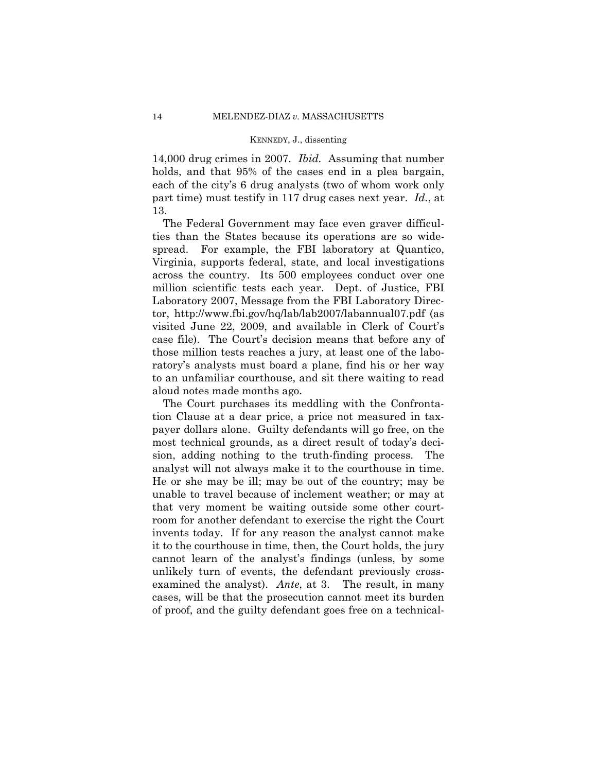14,000 drug crimes in 2007. *Ibid.* Assuming that number holds, and that 95% of the cases end in a plea bargain, each of the city's 6 drug analysts (two of whom work only part time) must testify in 117 drug cases next year. *Id.*, at 13.

 The Federal Government may face even graver difficulties than the States because its operations are so widespread. For example, the FBI laboratory at Quantico, Virginia, supports federal, state, and local investigations across the country. Its 500 employees conduct over one million scientific tests each year. Dept. of Justice, FBI Laboratory 2007, Message from the FBI Laboratory Director, http://www.fbi.gov/hq/lab/lab2007/labannual07.pdf (as visited June 22, 2009, and available in Clerk of Court's case file). The Court's decision means that before any of those million tests reaches a jury, at least one of the laboratory's analysts must board a plane, find his or her way to an unfamiliar courthouse, and sit there waiting to read aloud notes made months ago.

 The Court purchases its meddling with the Confrontation Clause at a dear price, a price not measured in taxpayer dollars alone. Guilty defendants will go free, on the most technical grounds, as a direct result of today's decision, adding nothing to the truth-finding process. The analyst will not always make it to the courthouse in time. He or she may be ill; may be out of the country; may be unable to travel because of inclement weather; or may at that very moment be waiting outside some other courtroom for another defendant to exercise the right the Court invents today. If for any reason the analyst cannot make it to the courthouse in time, then, the Court holds, the jury cannot learn of the analyst's findings (unless, by some unlikely turn of events, the defendant previously crossexamined the analyst). *Ante*, at 3. The result, in many cases, will be that the prosecution cannot meet its burden of proof, and the guilty defendant goes free on a technical-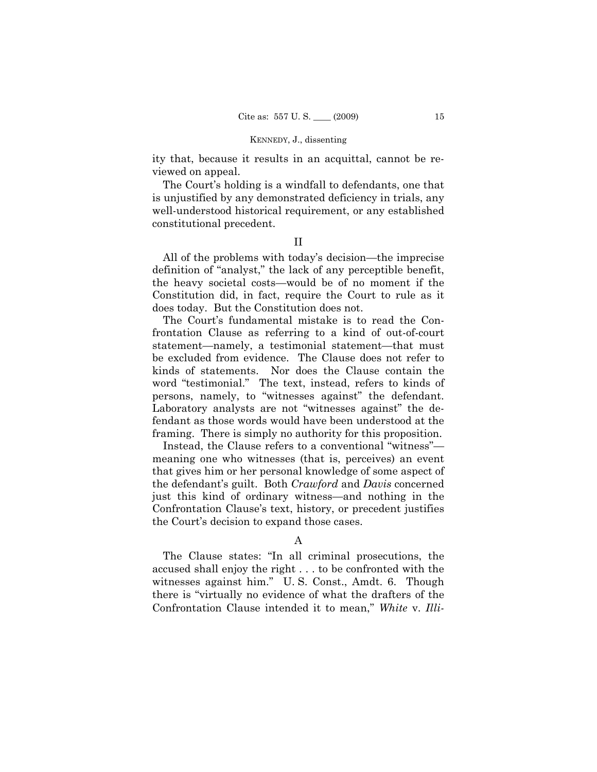ity that, because it results in an acquittal, cannot be reviewed on appeal.

 The Court's holding is a windfall to defendants, one that is unjustified by any demonstrated deficiency in trials, any well-understood historical requirement, or any established constitutional precedent.

 All of the problems with today's decision—the imprecise definition of "analyst," the lack of any perceptible benefit, the heavy societal costs—would be of no moment if the Constitution did, in fact, require the Court to rule as it does today. But the Constitution does not.

 The Court's fundamental mistake is to read the Confrontation Clause as referring to a kind of out-of-court statement—namely, a testimonial statement—that must be excluded from evidence. The Clause does not refer to kinds of statements. Nor does the Clause contain the word "testimonial." The text, instead, refers to kinds of persons, namely, to "witnesses against" the defendant. Laboratory analysts are not "witnesses against" the defendant as those words would have been understood at the framing. There is simply no authority for this proposition.

 Instead, the Clause refers to a conventional "witness" meaning one who witnesses (that is, perceives) an event that gives him or her personal knowledge of some aspect of the defendant's guilt. Both *Crawford* and *Davis* concerned just this kind of ordinary witness—and nothing in the Confrontation Clause's text, history, or precedent justifies the Court's decision to expand those cases.

 The Clause states: "In all criminal prosecutions, the accused shall enjoy the right . . . to be confronted with the witnesses against him." U. S. Const., Amdt. 6. Though there is "virtually no evidence of what the drafters of the Confrontation Clause intended it to mean," *White* v. *Illi-*

II

A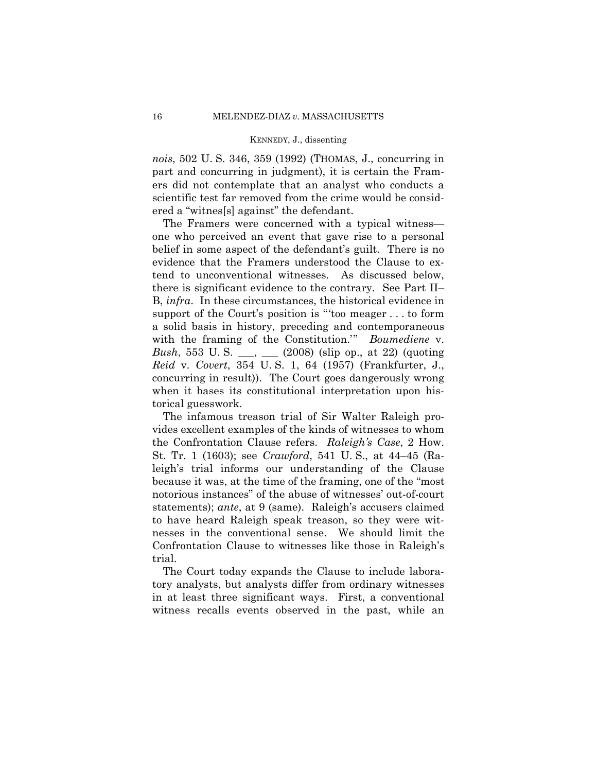*nois*, 502 U. S. 346, 359 (1992) (THOMAS, J., concurring in part and concurring in judgment), it is certain the Framers did not contemplate that an analyst who conducts a scientific test far removed from the crime would be considered a "witnes[s] against" the defendant.

 The Framers were concerned with a typical witness one who perceived an event that gave rise to a personal belief in some aspect of the defendant's guilt. There is no evidence that the Framers understood the Clause to extend to unconventional witnesses. As discussed below, there is significant evidence to the contrary. See Part II– B, *infra*. In these circumstances, the historical evidence in support of the Court's position is "'too meager . . . to form a solid basis in history, preceding and contemporaneous with the framing of the Constitution.'" *Boumediene* v. *Bush*, 553 U.S. \_\_, \_\_ (2008) (slip op., at 22) (quoting *Reid* v. *Covert*, 354 U. S. 1, 64 (1957) (Frankfurter, J., concurring in result)). The Court goes dangerously wrong when it bases its constitutional interpretation upon historical guesswork.

 The infamous treason trial of Sir Walter Raleigh provides excellent examples of the kinds of witnesses to whom the Confrontation Clause refers. *Raleigh's Case*, 2 How. St. Tr. 1 (1603); see *Crawford*, 541 U. S., at 44–45 (Raleigh's trial informs our understanding of the Clause because it was, at the time of the framing, one of the "most notorious instances" of the abuse of witnesses' out-of-court statements); *ante*, at 9 (same). Raleigh's accusers claimed to have heard Raleigh speak treason, so they were witnesses in the conventional sense. We should limit the Confrontation Clause to witnesses like those in Raleigh's trial.

 The Court today expands the Clause to include laboratory analysts, but analysts differ from ordinary witnesses in at least three significant ways. First, a conventional witness recalls events observed in the past, while an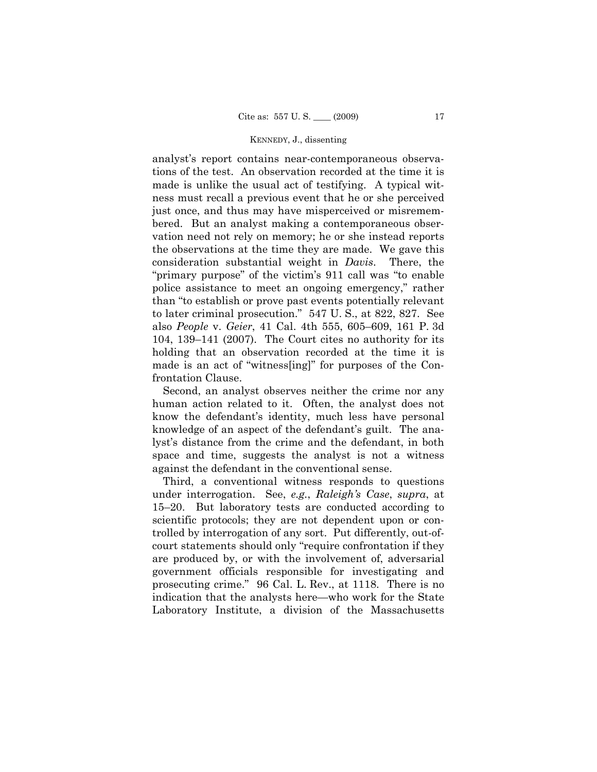analyst's report contains near-contemporaneous observations of the test. An observation recorded at the time it is made is unlike the usual act of testifying. A typical witness must recall a previous event that he or she perceived just once, and thus may have misperceived or misremembered. But an analyst making a contemporaneous observation need not rely on memory; he or she instead reports the observations at the time they are made. We gave this consideration substantial weight in *Davis*. There, the "primary purpose" of the victim's 911 call was "to enable police assistance to meet an ongoing emergency," rather than "to establish or prove past events potentially relevant to later criminal prosecution." 547 U. S., at 822, 827. See also *People* v. *Geier*, 41 Cal. 4th 555, 605–609, 161 P. 3d 104, 139–141 (2007). The Court cites no authority for its holding that an observation recorded at the time it is made is an act of "witness[ing]" for purposes of the Confrontation Clause.

 Second, an analyst observes neither the crime nor any human action related to it. Often, the analyst does not know the defendant's identity, much less have personal knowledge of an aspect of the defendant's guilt. The analyst's distance from the crime and the defendant, in both space and time, suggests the analyst is not a witness against the defendant in the conventional sense.

 Third, a conventional witness responds to questions under interrogation. See, *e.g.*, *Raleigh's Case*, *supra*, at 15–20. But laboratory tests are conducted according to scientific protocols; they are not dependent upon or controlled by interrogation of any sort. Put differently, out-ofcourt statements should only "require confrontation if they are produced by, or with the involvement of, adversarial government officials responsible for investigating and prosecuting crime." 96 Cal. L. Rev., at 1118. There is no indication that the analysts here—who work for the State Laboratory Institute, a division of the Massachusetts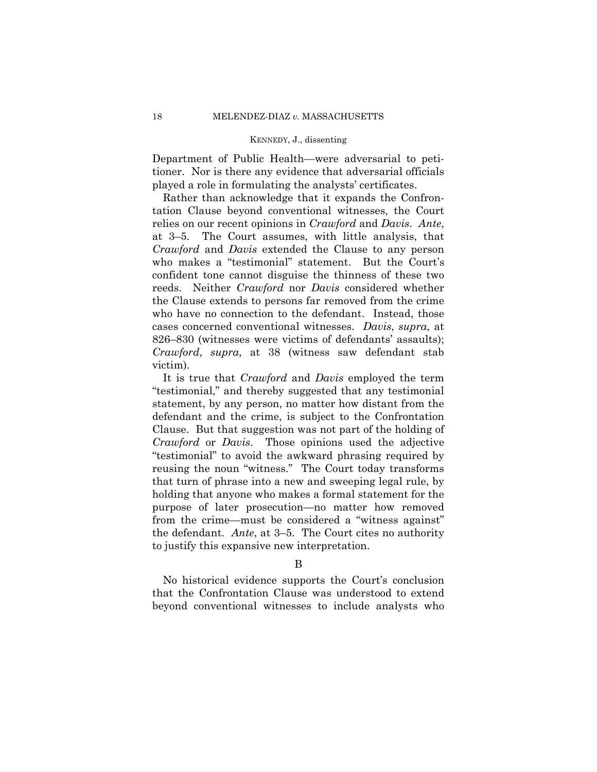Department of Public Health—were adversarial to petitioner. Nor is there any evidence that adversarial officials played a role in formulating the analysts' certificates.

 Rather than acknowledge that it expands the Confrontation Clause beyond conventional witnesses, the Court relies on our recent opinions in *Crawford* and *Davis*. *Ante*, at 3–5. The Court assumes, with little analysis, that *Crawford* and *Davis* extended the Clause to any person who makes a "testimonial" statement. But the Court's confident tone cannot disguise the thinness of these two reeds. Neither *Crawford* nor *Davis* considered whether the Clause extends to persons far removed from the crime who have no connection to the defendant. Instead, those cases concerned conventional witnesses. *Davis*, *supra*, at 826–830 (witnesses were victims of defendants' assaults); *Crawford*, *supra*, at 38 (witness saw defendant stab victim).

 It is true that *Crawford* and *Davis* employed the term "testimonial," and thereby suggested that any testimonial statement, by any person, no matter how distant from the defendant and the crime, is subject to the Confrontation Clause. But that suggestion was not part of the holding of *Crawford* or *Davis*. Those opinions used the adjective "testimonial" to avoid the awkward phrasing required by reusing the noun "witness." The Court today transforms that turn of phrase into a new and sweeping legal rule, by holding that anyone who makes a formal statement for the purpose of later prosecution—no matter how removed from the crime—must be considered a "witness against" the defendant. *Ante*, at 3–5. The Court cites no authority to justify this expansive new interpretation.

 No historical evidence supports the Court's conclusion that the Confrontation Clause was understood to extend beyond conventional witnesses to include analysts who

B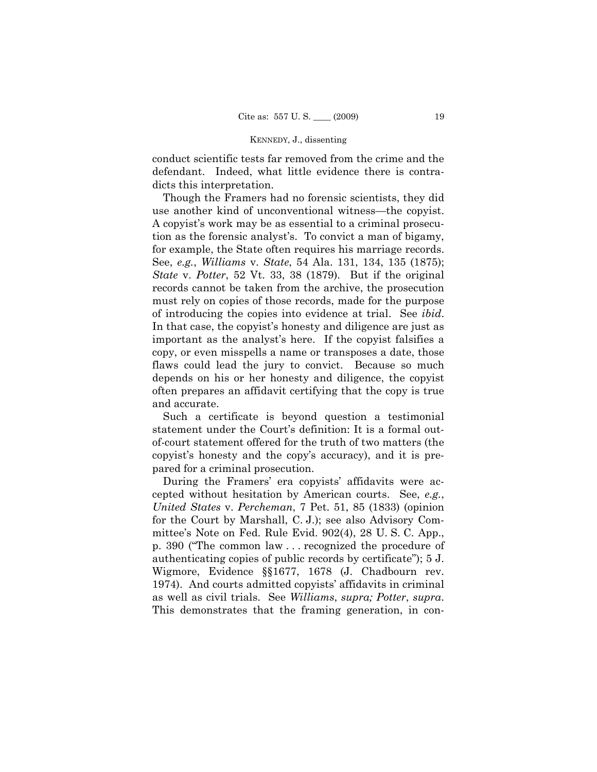conduct scientific tests far removed from the crime and the defendant. Indeed, what little evidence there is contradicts this interpretation.

 Though the Framers had no forensic scientists, they did use another kind of unconventional witness—the copyist. A copyist's work may be as essential to a criminal prosecution as the forensic analyst's. To convict a man of bigamy, for example, the State often requires his marriage records. See, *e.g.*, *Williams* v. *State*, 54 Ala. 131, 134, 135 (1875); *State* v. *Potter*, 52 Vt. 33, 38 (1879). But if the original records cannot be taken from the archive, the prosecution must rely on copies of those records, made for the purpose of introducing the copies into evidence at trial. See *ibid*. In that case, the copyist's honesty and diligence are just as important as the analyst's here. If the copyist falsifies a copy, or even misspells a name or transposes a date, those flaws could lead the jury to convict. Because so much depends on his or her honesty and diligence, the copyist often prepares an affidavit certifying that the copy is true and accurate.

 Such a certificate is beyond question a testimonial statement under the Court's definition: It is a formal outof-court statement offered for the truth of two matters (the copyist's honesty and the copy's accuracy), and it is prepared for a criminal prosecution.

 During the Framers' era copyists' affidavits were accepted without hesitation by American courts. See, *e.g.*, *United States* v. *Percheman*, 7 Pet. 51, 85 (1833) (opinion for the Court by Marshall, C. J.); see also Advisory Committee's Note on Fed. Rule Evid. 902(4), 28 U. S. C. App., p. 390 ("The common law . . . recognized the procedure of authenticating copies of public records by certificate"); 5 J. Wigmore, Evidence §§1677, 1678 (J. Chadbourn rev. 1974). And courts admitted copyists' affidavits in criminal as well as civil trials. See *Williams*, *supra; Potter*, *supra*. This demonstrates that the framing generation, in con-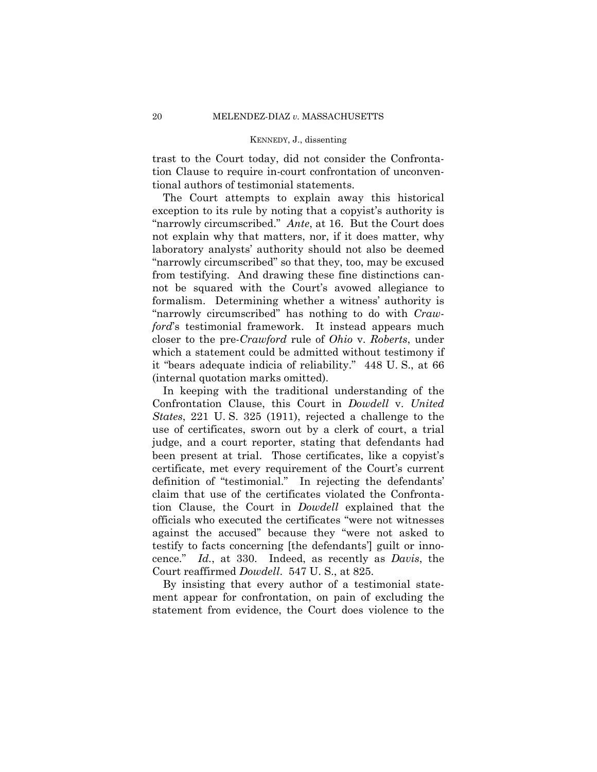trast to the Court today, did not consider the Confrontation Clause to require in-court confrontation of unconventional authors of testimonial statements.

 The Court attempts to explain away this historical exception to its rule by noting that a copyist's authority is "narrowly circumscribed." *Ante*, at 16. But the Court does not explain why that matters, nor, if it does matter, why laboratory analysts' authority should not also be deemed "narrowly circumscribed" so that they, too, may be excused from testifying. And drawing these fine distinctions cannot be squared with the Court's avowed allegiance to formalism. Determining whether a witness' authority is "narrowly circumscribed" has nothing to do with *Crawford*'s testimonial framework. It instead appears much closer to the pre-*Crawford* rule of *Ohio* v. *Roberts*, under which a statement could be admitted without testimony if it "bears adequate indicia of reliability." 448 U. S., at 66 (internal quotation marks omitted).

 In keeping with the traditional understanding of the Confrontation Clause, this Court in *Dowdell* v. *United States*, 221 U. S. 325 (1911), rejected a challenge to the use of certificates, sworn out by a clerk of court, a trial judge, and a court reporter, stating that defendants had been present at trial. Those certificates, like a copyist's certificate, met every requirement of the Court's current definition of "testimonial." In rejecting the defendants' claim that use of the certificates violated the Confrontation Clause, the Court in *Dowdell* explained that the officials who executed the certificates "were not witnesses against the accused" because they "were not asked to testify to facts concerning [the defendants'] guilt or innocence." *Id.*, at 330. Indeed, as recently as *Davis*, the Court reaffirmed *Dowdell*. 547 U. S., at 825.

 By insisting that every author of a testimonial statement appear for confrontation, on pain of excluding the statement from evidence, the Court does violence to the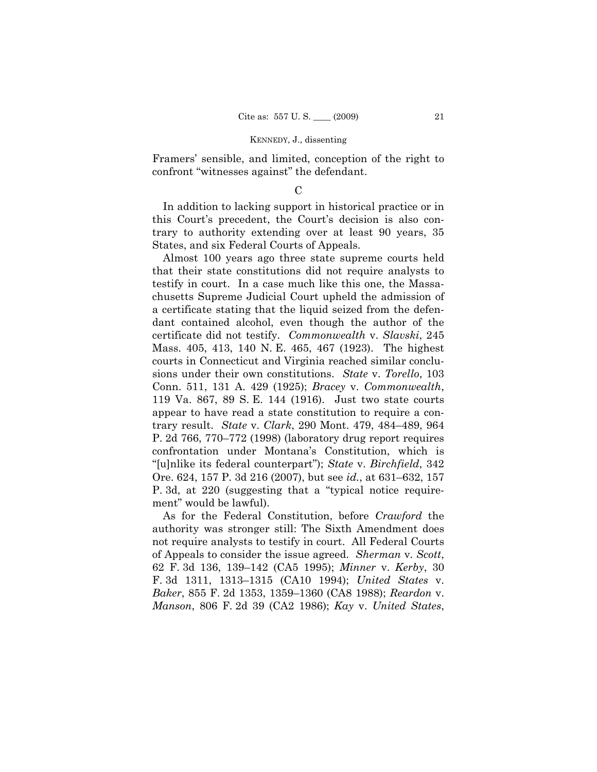Framers' sensible, and limited, conception of the right to confront "witnesses against" the defendant.

### $\mathcal{C}$

 In addition to lacking support in historical practice or in this Court's precedent, the Court's decision is also contrary to authority extending over at least 90 years, 35 States, and six Federal Courts of Appeals.

 Almost 100 years ago three state supreme courts held that their state constitutions did not require analysts to testify in court. In a case much like this one, the Massachusetts Supreme Judicial Court upheld the admission of a certificate stating that the liquid seized from the defendant contained alcohol, even though the author of the certificate did not testify. *Commonwealth* v. *Slavski*, 245 Mass. 405, 413, 140 N. E. 465, 467 (1923). The highest courts in Connecticut and Virginia reached similar conclusions under their own constitutions. *State* v. *Torello*, 103 Conn. 511, 131 A. 429 (1925); *Bracey* v. *Commonwealth*, 119 Va. 867, 89 S. E. 144 (1916). Just two state courts appear to have read a state constitution to require a contrary result. *State* v. *Clark*, 290 Mont. 479, 484–489, 964 P. 2d 766, 770–772 (1998) (laboratory drug report requires confrontation under Montana's Constitution, which is "[u]nlike its federal counterpart"); *State* v. *Birchfield*, 342 Ore. 624, 157 P. 3d 216 (2007), but see *id.*, at 631–632, 157 P. 3d, at 220 (suggesting that a "typical notice requirement" would be lawful).

 As for the Federal Constitution, before *Crawford* the authority was stronger still: The Sixth Amendment does not require analysts to testify in court. All Federal Courts of Appeals to consider the issue agreed. *Sherman* v. *Scott*, 62 F. 3d 136, 139–142 (CA5 1995); *Minner* v. *Kerby*, 30 F. 3d 1311, 1313–1315 (CA10 1994); *United States* v. *Baker*, 855 F. 2d 1353, 1359–1360 (CA8 1988); *Reardon* v. *Manson*, 806 F. 2d 39 (CA2 1986); *Kay* v. *United States*,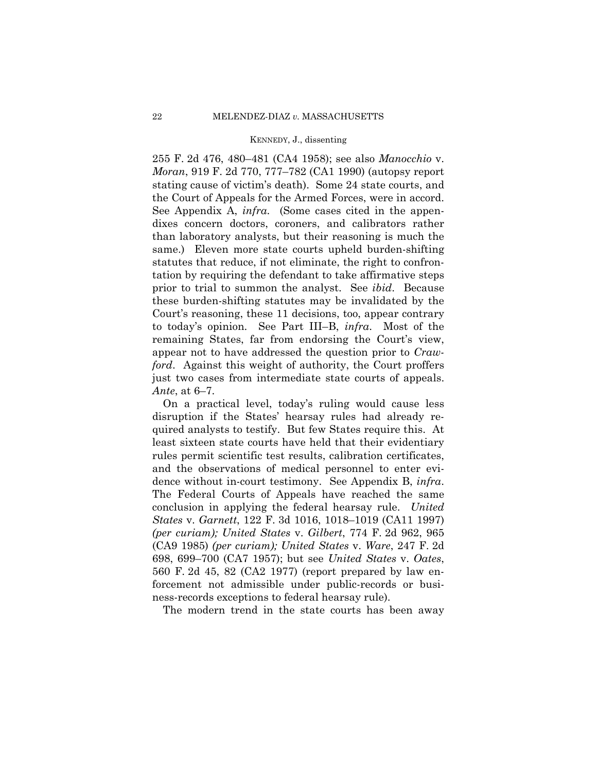255 F. 2d 476, 480–481 (CA4 1958); see also *Manocchio* v. *Moran*, 919 F. 2d 770, 777–782 (CA1 1990) (autopsy report stating cause of victim's death). Some 24 state courts, and the Court of Appeals for the Armed Forces, were in accord. See Appendix A, *infra*. (Some cases cited in the appendixes concern doctors, coroners, and calibrators rather than laboratory analysts, but their reasoning is much the same.) Eleven more state courts upheld burden-shifting statutes that reduce, if not eliminate, the right to confrontation by requiring the defendant to take affirmative steps prior to trial to summon the analyst. See *ibid*. Because these burden-shifting statutes may be invalidated by the Court's reasoning, these 11 decisions, too, appear contrary to today's opinion. See Part III–B, *infra*. Most of the remaining States, far from endorsing the Court's view, appear not to have addressed the question prior to *Crawford*. Against this weight of authority, the Court proffers just two cases from intermediate state courts of appeals. *Ante*, at 6–7.

 On a practical level, today's ruling would cause less disruption if the States' hearsay rules had already required analysts to testify. But few States require this. At least sixteen state courts have held that their evidentiary rules permit scientific test results, calibration certificates, and the observations of medical personnel to enter evidence without in-court testimony. See Appendix B, *infra*. The Federal Courts of Appeals have reached the same conclusion in applying the federal hearsay rule. *United States* v. *Garnett*, 122 F. 3d 1016, 1018–1019 (CA11 1997) *(per curiam); United States* v. *Gilbert*, 774 F. 2d 962, 965 (CA9 1985) *(per curiam); United States* v. *Ware*, 247 F. 2d 698, 699–700 (CA7 1957); but see *United States* v. *Oates*, 560 F. 2d 45, 82 (CA2 1977) (report prepared by law enforcement not admissible under public-records or business-records exceptions to federal hearsay rule).

The modern trend in the state courts has been away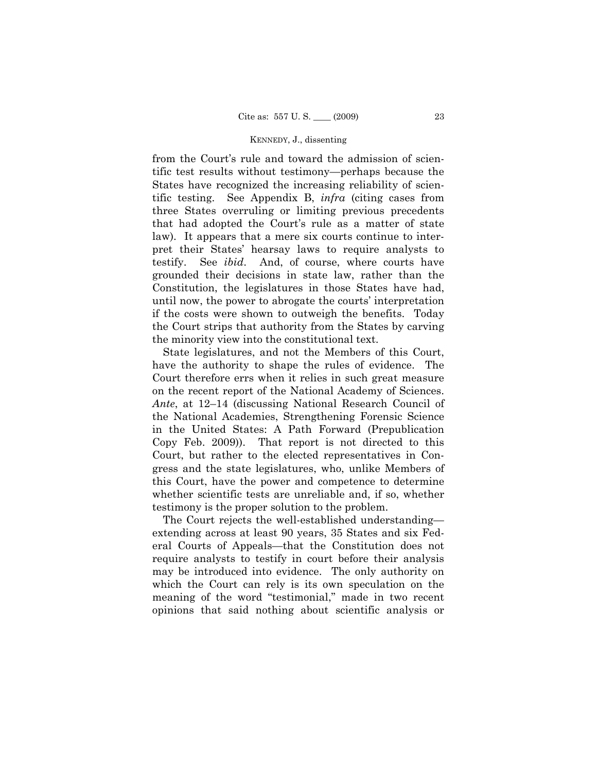from the Court's rule and toward the admission of scientific test results without testimony—perhaps because the States have recognized the increasing reliability of scientific testing. See Appendix B, *infra* (citing cases from three States overruling or limiting previous precedents that had adopted the Court's rule as a matter of state law). It appears that a mere six courts continue to interpret their States' hearsay laws to require analysts to testify. See *ibid*. And, of course, where courts have grounded their decisions in state law, rather than the Constitution, the legislatures in those States have had, until now, the power to abrogate the courts' interpretation if the costs were shown to outweigh the benefits. Today the Court strips that authority from the States by carving the minority view into the constitutional text.

 State legislatures, and not the Members of this Court, have the authority to shape the rules of evidence. The Court therefore errs when it relies in such great measure on the recent report of the National Academy of Sciences. *Ante*, at 12–14 (discussing National Research Council of the National Academies, Strengthening Forensic Science in the United States: A Path Forward (Prepublication Copy Feb. 2009)). That report is not directed to this Court, but rather to the elected representatives in Congress and the state legislatures, who, unlike Members of this Court, have the power and competence to determine whether scientific tests are unreliable and, if so, whether testimony is the proper solution to the problem.

 The Court rejects the well-established understanding extending across at least 90 years, 35 States and six Federal Courts of Appeals—that the Constitution does not require analysts to testify in court before their analysis may be introduced into evidence. The only authority on which the Court can rely is its own speculation on the meaning of the word "testimonial," made in two recent opinions that said nothing about scientific analysis or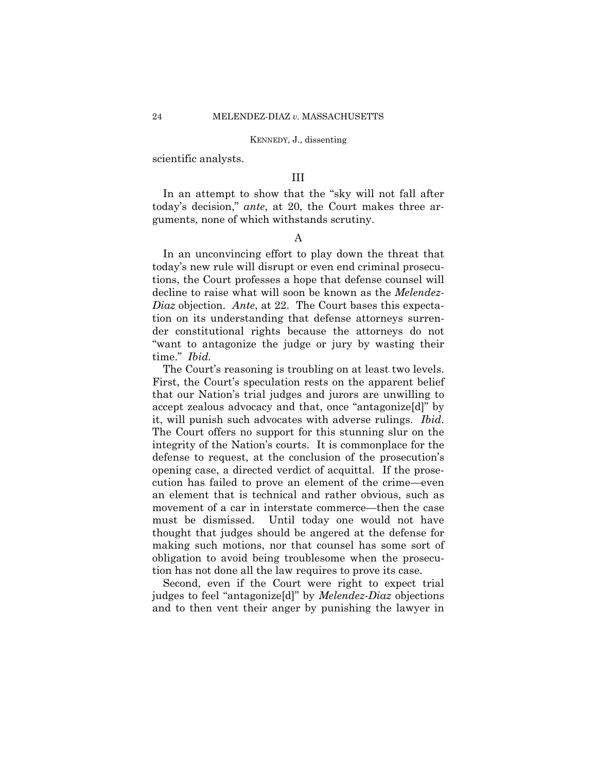scientific analysts.

## III

 In an attempt to show that the "sky will not fall after today's decision," *ante*, at 20, the Court makes three arguments, none of which withstands scrutiny.

### A

 In an unconvincing effort to play down the threat that today's new rule will disrupt or even end criminal prosecutions, the Court professes a hope that defense counsel will decline to raise what will soon be known as the *Melendez-Diaz* objection. *Ante*, at 22. The Court bases this expectation on its understanding that defense attorneys surrender constitutional rights because the attorneys do not "want to antagonize the judge or jury by wasting their time." *Ibid.*

 The Court's reasoning is troubling on at least two levels. First, the Court's speculation rests on the apparent belief that our Nation's trial judges and jurors are unwilling to accept zealous advocacy and that, once "antagonize[d]" by it, will punish such advocates with adverse rulings. *Ibid*. The Court offers no support for this stunning slur on the integrity of the Nation's courts. It is commonplace for the defense to request, at the conclusion of the prosecution's opening case, a directed verdict of acquittal. If the prosecution has failed to prove an element of the crime—even an element that is technical and rather obvious, such as movement of a car in interstate commerce—then the case must be dismissed. Until today one would not have thought that judges should be angered at the defense for making such motions, nor that counsel has some sort of obligation to avoid being troublesome when the prosecution has not done all the law requires to prove its case.

 Second, even if the Court were right to expect trial judges to feel "antagonize[d]" by *Melendez-Diaz* objections and to then vent their anger by punishing the lawyer in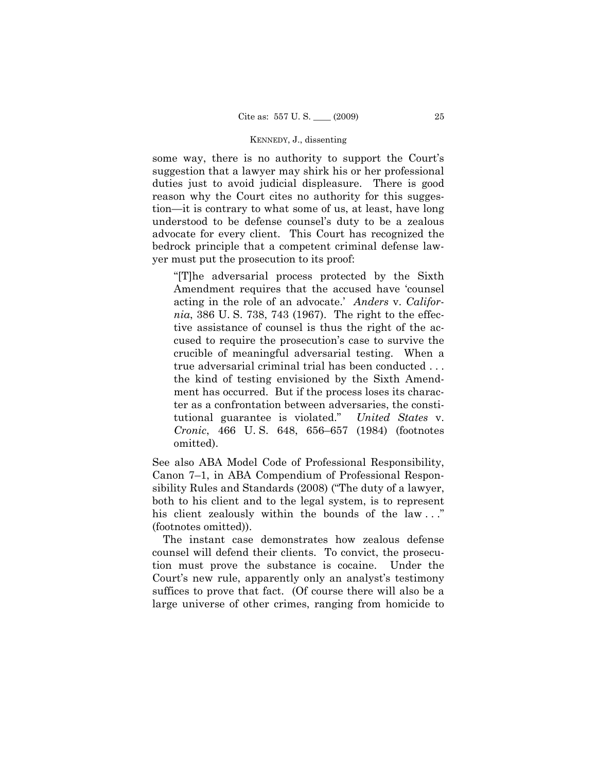some way, there is no authority to support the Court's suggestion that a lawyer may shirk his or her professional duties just to avoid judicial displeasure. There is good reason why the Court cites no authority for this suggestion—it is contrary to what some of us, at least, have long understood to be defense counsel's duty to be a zealous advocate for every client. This Court has recognized the bedrock principle that a competent criminal defense lawyer must put the prosecution to its proof:

"[T]he adversarial process protected by the Sixth Amendment requires that the accused have 'counsel acting in the role of an advocate.' *Anders* v. *California*, 386 U. S. 738, 743 (1967). The right to the effective assistance of counsel is thus the right of the accused to require the prosecution's case to survive the crucible of meaningful adversarial testing. When a true adversarial criminal trial has been conducted . . . the kind of testing envisioned by the Sixth Amendment has occurred. But if the process loses its character as a confrontation between adversaries, the constitutional guarantee is violated." *United States* v. *Cronic*, 466 U. S. 648, 656–657 (1984) (footnotes omitted).

See also ABA Model Code of Professional Responsibility, Canon 7–1, in ABA Compendium of Professional Responsibility Rules and Standards (2008) ("The duty of a lawyer, both to his client and to the legal system, is to represent his client zealously within the bounds of the law ..." (footnotes omitted)).

 The instant case demonstrates how zealous defense counsel will defend their clients. To convict, the prosecution must prove the substance is cocaine. Under the Court's new rule, apparently only an analyst's testimony suffices to prove that fact. (Of course there will also be a large universe of other crimes, ranging from homicide to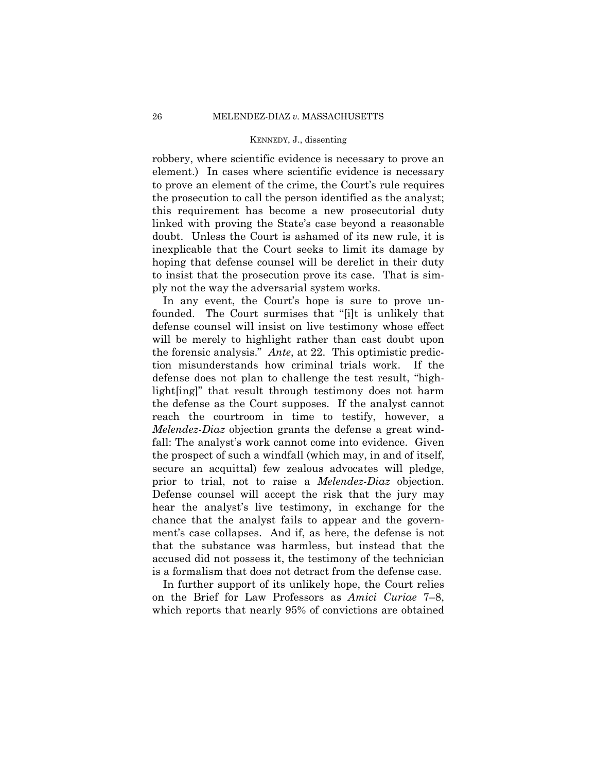robbery, where scientific evidence is necessary to prove an element.) In cases where scientific evidence is necessary to prove an element of the crime, the Court's rule requires the prosecution to call the person identified as the analyst; this requirement has become a new prosecutorial duty linked with proving the State's case beyond a reasonable doubt. Unless the Court is ashamed of its new rule, it is inexplicable that the Court seeks to limit its damage by hoping that defense counsel will be derelict in their duty to insist that the prosecution prove its case. That is simply not the way the adversarial system works.

In any event, the Court's hope is sure to prove unfounded. The Court surmises that "[i]t is unlikely that defense counsel will insist on live testimony whose effect will be merely to highlight rather than cast doubt upon the forensic analysis." *Ante*, at 22. This optimistic prediction misunderstands how criminal trials work. If the defense does not plan to challenge the test result, "highlight[ing]" that result through testimony does not harm the defense as the Court supposes. If the analyst cannot reach the courtroom in time to testify, however, a *Melendez-Diaz* objection grants the defense a great windfall: The analyst's work cannot come into evidence. Given the prospect of such a windfall (which may, in and of itself, secure an acquittal) few zealous advocates will pledge, prior to trial, not to raise a *Melendez-Diaz* objection. Defense counsel will accept the risk that the jury may hear the analyst's live testimony, in exchange for the chance that the analyst fails to appear and the government's case collapses. And if, as here, the defense is not that the substance was harmless, but instead that the accused did not possess it, the testimony of the technician is a formalism that does not detract from the defense case.

 In further support of its unlikely hope, the Court relies on the Brief for Law Professors as *Amici Curiae* 7–8, which reports that nearly 95% of convictions are obtained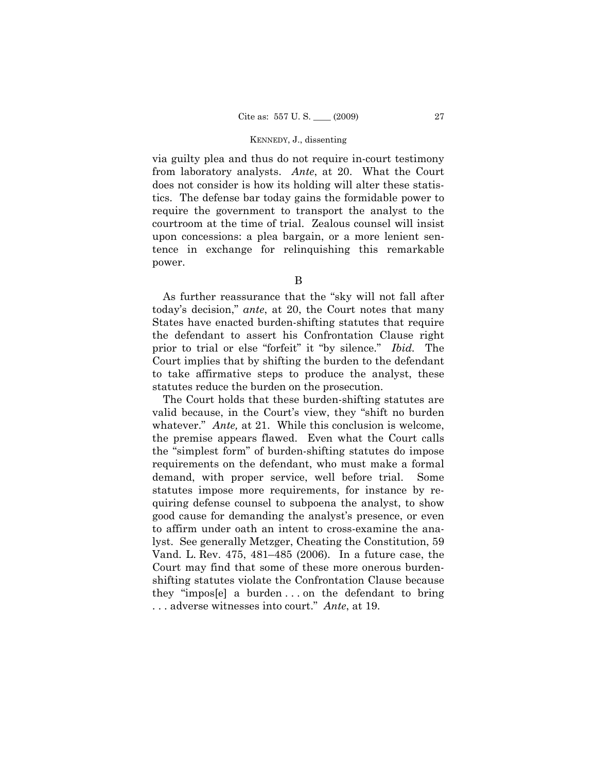via guilty plea and thus do not require in-court testimony from laboratory analysts. *Ante*, at 20. What the Court does not consider is how its holding will alter these statistics. The defense bar today gains the formidable power to require the government to transport the analyst to the courtroom at the time of trial. Zealous counsel will insist upon concessions: a plea bargain, or a more lenient sentence in exchange for relinquishing this remarkable power.

 As further reassurance that the "sky will not fall after today's decision," *ante*, at 20, the Court notes that many States have enacted burden-shifting statutes that require the defendant to assert his Confrontation Clause right prior to trial or else "forfeit" it "by silence." *Ibid.* The Court implies that by shifting the burden to the defendant to take affirmative steps to produce the analyst, these statutes reduce the burden on the prosecution.

 The Court holds that these burden-shifting statutes are valid because, in the Court's view, they "shift no burden whatever." *Ante*, at 21. While this conclusion is welcome, the premise appears flawed. Even what the Court calls the "simplest form" of burden-shifting statutes do impose requirements on the defendant, who must make a formal demand, with proper service, well before trial. Some statutes impose more requirements, for instance by requiring defense counsel to subpoena the analyst, to show good cause for demanding the analyst's presence, or even to affirm under oath an intent to cross-examine the analyst. See generally Metzger, Cheating the Constitution, 59 Vand. L. Rev. 475, 481–485 (2006). In a future case, the Court may find that some of these more onerous burdenshifting statutes violate the Confrontation Clause because they "impos[e] a burden . . . on the defendant to bring . . . adverse witnesses into court." *Ante*, at 19.

B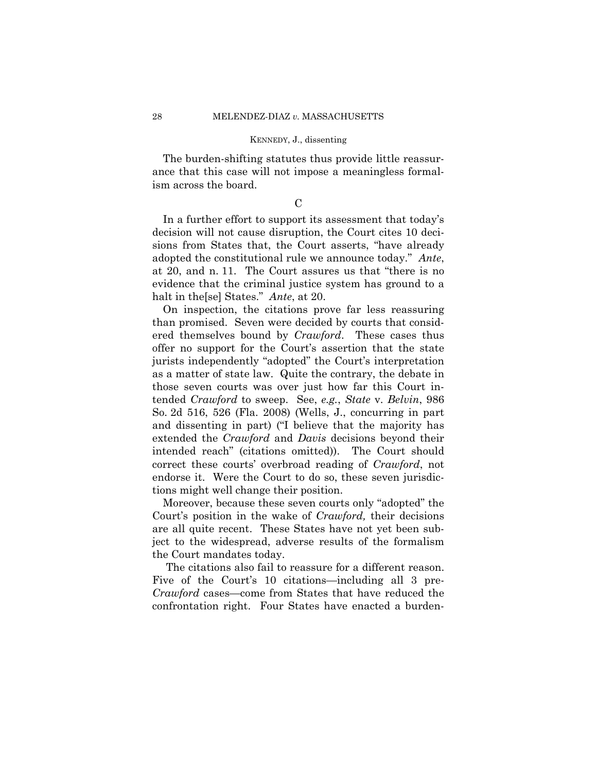The burden-shifting statutes thus provide little reassurance that this case will not impose a meaningless formalism across the board.

 $\mathcal{C}$ 

 In a further effort to support its assessment that today's decision will not cause disruption, the Court cites 10 decisions from States that, the Court asserts, "have already adopted the constitutional rule we announce today." *Ante*, at 20, and n. 11. The Court assures us that "there is no evidence that the criminal justice system has ground to a halt in the[se] States." *Ante*, at 20.

 On inspection, the citations prove far less reassuring than promised. Seven were decided by courts that considered themselves bound by *Crawford*. These cases thus offer no support for the Court's assertion that the state jurists independently "adopted" the Court's interpretation as a matter of state law. Quite the contrary, the debate in those seven courts was over just how far this Court intended *Crawford* to sweep. See, *e.g.*, *State* v. *Belvin*, 986 So. 2d 516, 526 (Fla. 2008) (Wells, J., concurring in part and dissenting in part) ("I believe that the majority has extended the *Crawford* and *Davis* decisions beyond their intended reach" (citations omitted)). The Court should correct these courts' overbroad reading of *Crawford*, not endorse it. Were the Court to do so, these seven jurisdictions might well change their position.

 Moreover, because these seven courts only "adopted" the Court's position in the wake of *Crawford,* their decisions are all quite recent. These States have not yet been subject to the widespread, adverse results of the formalism the Court mandates today.

 The citations also fail to reassure for a different reason. Five of the Court's 10 citations—including all 3 pre-*Crawford* cases—come from States that have reduced the confrontation right. Four States have enacted a burden-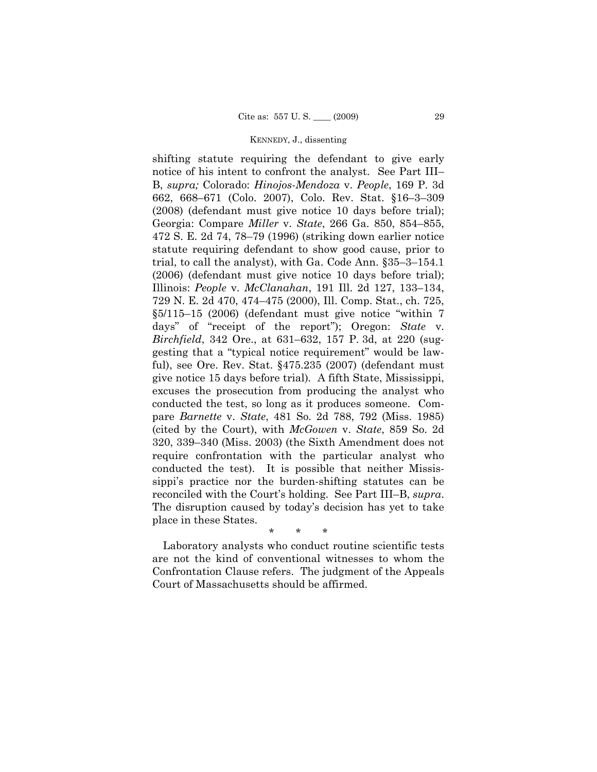shifting statute requiring the defendant to give early notice of his intent to confront the analyst. See Part III– B, *supra;* Colorado: *Hinojos-Mendoza* v. *People*, 169 P. 3d 662, 668–671 (Colo. 2007), Colo. Rev. Stat. §16–3–309 (2008) (defendant must give notice 10 days before trial); Georgia: Compare *Miller* v. *State*, 266 Ga. 850, 854–855, 472 S. E. 2d 74, 78–79 (1996) (striking down earlier notice statute requiring defendant to show good cause, prior to trial, to call the analyst), with Ga. Code Ann. §35–3–154.1 (2006) (defendant must give notice 10 days before trial); Illinois: *People* v. *McClanahan*, 191 Ill. 2d 127, 133–134, 729 N. E. 2d 470, 474–475 (2000), Ill. Comp. Stat., ch. 725, §5/115–15 (2006) (defendant must give notice "within 7 days" of "receipt of the report"); Oregon: *State* v. *Birchfield*, 342 Ore., at 631–632, 157 P. 3d, at 220 (suggesting that a "typical notice requirement" would be lawful), see Ore. Rev. Stat. §475.235 (2007) (defendant must give notice 15 days before trial)*.* A fifth State, Mississippi, excuses the prosecution from producing the analyst who conducted the test, so long as it produces someone. Compare *Barnette* v. *State*, 481 So. 2d 788, 792 (Miss. 1985) (cited by the Court), with *McGowen* v. *State*, 859 So. 2d 320, 339–340 (Miss. 2003) (the Sixth Amendment does not require confrontation with the particular analyst who conducted the test). It is possible that neither Mississippi's practice nor the burden-shifting statutes can be reconciled with the Court's holding. See Part III–B, *supra*. The disruption caused by today's decision has yet to take place in these States.

# \* \* \*

 Laboratory analysts who conduct routine scientific tests are not the kind of conventional witnesses to whom the Confrontation Clause refers. The judgment of the Appeals Court of Massachusetts should be affirmed.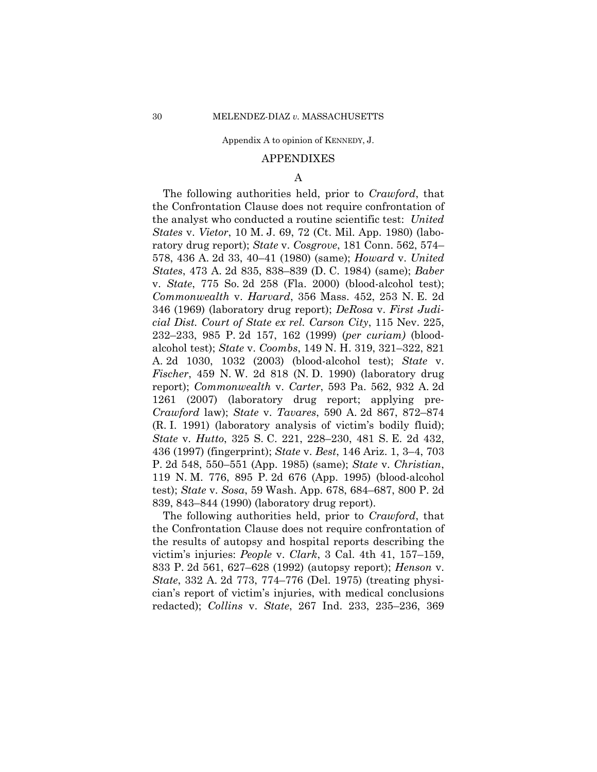## APPENDIXES

## A

 The following authorities held, prior to *Crawford*, that the Confrontation Clause does not require confrontation of the analyst who conducted a routine scientific test: *United States* v. *Vietor*, 10 M. J. 69, 72 (Ct. Mil. App. 1980) (laboratory drug report); *State* v. *Cosgrove*, 181 Conn. 562, 574– 578, 436 A. 2d 33, 40–41 (1980) (same); *Howard* v. *United States*, 473 A. 2d 835, 838–839 (D. C. 1984) (same); *Baber* v. *State*, 775 So. 2d 258 (Fla. 2000) (blood-alcohol test); *Commonwealth* v. *Harvard*, 356 Mass. 452, 253 N. E. 2d 346 (1969) (laboratory drug report); *DeRosa* v. *First Judicial Dist. Court of State ex rel. Carson City*, 115 Nev. 225, 232–233, 985 P. 2d 157, 162 (1999) (*per curiam)* (bloodalcohol test); *State* v. *Coombs*, 149 N. H. 319, 321–322, 821 A. 2d 1030, 1032 (2003) (blood-alcohol test); *State* v. *Fischer*, 459 N. W. 2d 818 (N. D. 1990) (laboratory drug report); *Commonwealth* v. *Carter*, 593 Pa. 562, 932 A. 2d 1261 (2007) (laboratory drug report; applying pre-*Crawford* law); *State* v. *Tavares*, 590 A. 2d 867, 872–874 (R. I. 1991) (laboratory analysis of victim's bodily fluid); *State* v. *Hutto*, 325 S. C. 221, 228–230, 481 S. E. 2d 432, 436 (1997) (fingerprint); *State* v. *Best*, 146 Ariz. 1, 3–4, 703 P. 2d 548, 550–551 (App. 1985) (same); *State* v. *Christian*, 119 N. M. 776, 895 P. 2d 676 (App. 1995) (blood-alcohol test); *State* v. *Sosa*, 59 Wash. App. 678, 684–687, 800 P. 2d 839, 843–844 (1990) (laboratory drug report).

 The following authorities held, prior to *Crawford*, that the Confrontation Clause does not require confrontation of the results of autopsy and hospital reports describing the victim's injuries: *People* v. *Clark*, 3 Cal. 4th 41, 157–159, 833 P. 2d 561, 627–628 (1992) (autopsy report); *Henson* v. *State*, 332 A. 2d 773, 774–776 (Del. 1975) (treating physician's report of victim's injuries, with medical conclusions redacted); *Collins* v. *State*, 267 Ind. 233, 235–236, 369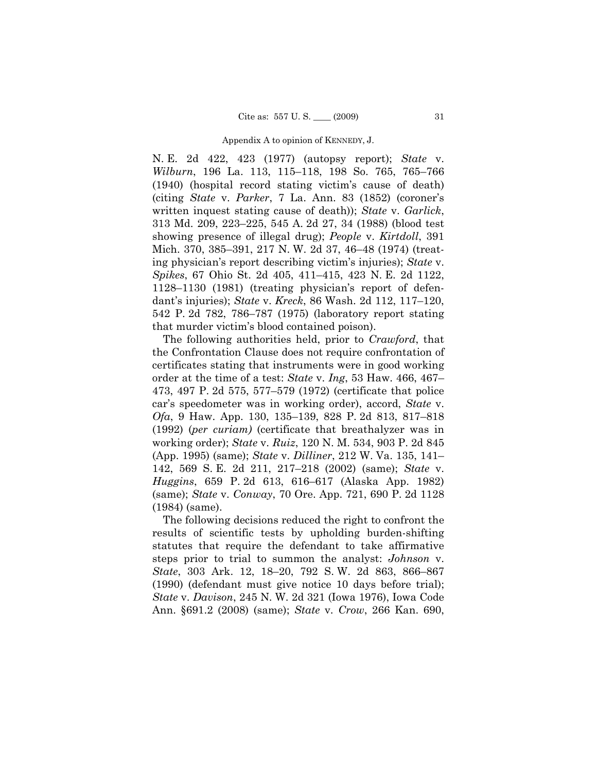N. E. 2d 422, 423 (1977) (autopsy report); *State* v. *Wilburn*, 196 La. 113, 115–118, 198 So. 765, 765–766 (1940) (hospital record stating victim's cause of death) (citing *State* v. *Parker*, 7 La. Ann. 83 (1852) (coroner's written inquest stating cause of death)); *State* v. *Garlick*, 313 Md. 209, 223–225, 545 A. 2d 27, 34 (1988) (blood test showing presence of illegal drug); *People* v. *Kirtdoll*, 391 Mich. 370, 385–391, 217 N. W. 2d 37, 46–48 (1974) (treating physician's report describing victim's injuries); *State* v. *Spikes*, 67 Ohio St. 2d 405, 411–415, 423 N. E. 2d 1122, 1128–1130 (1981) (treating physician's report of defendant's injuries); *State* v. *Kreck*, 86 Wash. 2d 112, 117–120, 542 P. 2d 782, 786–787 (1975) (laboratory report stating that murder victim's blood contained poison).

 The following authorities held, prior to *Crawford*, that the Confrontation Clause does not require confrontation of certificates stating that instruments were in good working order at the time of a test: *State* v. *Ing*, 53 Haw. 466, 467– 473, 497 P. 2d 575, 577–579 (1972) (certificate that police car's speedometer was in working order), accord, *State* v. *Ofa*, 9 Haw. App. 130, 135–139, 828 P. 2d 813, 817–818 (1992) (*per curiam)* (certificate that breathalyzer was in working order); *State* v. *Ruiz*, 120 N. M. 534, 903 P. 2d 845 (App. 1995) (same); *State* v. *Dilliner*, 212 W. Va. 135, 141– 142, 569 S. E. 2d 211, 217–218 (2002) (same); *State* v. *Huggins*, 659 P. 2d 613, 616–617 (Alaska App. 1982) (same); *State* v. *Conway*, 70 Ore. App. 721, 690 P. 2d 1128 (1984) (same).

 The following decisions reduced the right to confront the results of scientific tests by upholding burden-shifting statutes that require the defendant to take affirmative steps prior to trial to summon the analyst: *Johnson* v. *State*, 303 Ark. 12, 18–20, 792 S. W. 2d 863, 866–867 (1990) (defendant must give notice 10 days before trial); *State* v. *Davison*, 245 N. W. 2d 321 (Iowa 1976), Iowa Code Ann. §691.2 (2008) (same); *State* v. *Crow*, 266 Kan. 690,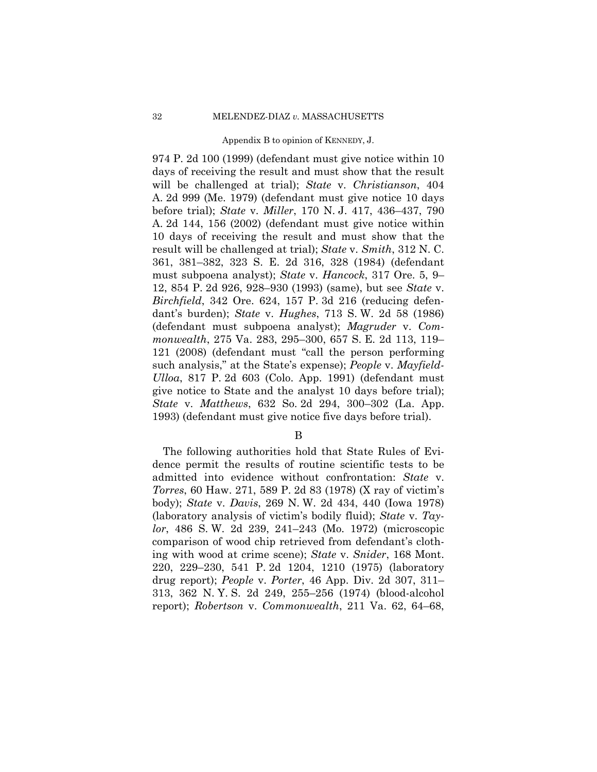974 P. 2d 100 (1999) (defendant must give notice within 10 days of receiving the result and must show that the result will be challenged at trial); *State* v. *Christianson*, 404 A. 2d 999 (Me. 1979) (defendant must give notice 10 days before trial); *State* v. *Miller*, 170 N. J. 417, 436–437, 790 A. 2d 144, 156 (2002) (defendant must give notice within 10 days of receiving the result and must show that the result will be challenged at trial); *State* v. *Smith*, 312 N. C. 361, 381–382, 323 S. E. 2d 316, 328 (1984) (defendant must subpoena analyst); *State* v. *Hancock*, 317 Ore. 5, 9– 12, 854 P. 2d 926, 928–930 (1993) (same), but see *State* v. *Birchfield*, 342 Ore. 624, 157 P. 3d 216 (reducing defendant's burden); *State* v. *Hughes*, 713 S. W. 2d 58 (1986) (defendant must subpoena analyst); *Magruder* v. *Commonwealth*, 275 Va. 283, 295–300, 657 S. E. 2d 113, 119– 121 (2008) (defendant must "call the person performing such analysis," at the State's expense); *People* v. *Mayfield-Ulloa*, 817 P. 2d 603 (Colo. App. 1991) (defendant must give notice to State and the analyst 10 days before trial); *State* v. *Matthews*, 632 So. 2d 294, 300–302 (La. App. 1993) (defendant must give notice five days before trial).

## B

 The following authorities hold that State Rules of Evidence permit the results of routine scientific tests to be admitted into evidence without confrontation: *State* v. *Torres*, 60 Haw. 271, 589 P. 2d 83 (1978) (X ray of victim's body); *State* v. *Davis*, 269 N. W. 2d 434, 440 (Iowa 1978) (laboratory analysis of victim's bodily fluid); *State* v. *Taylor*, 486 S. W. 2d 239, 241–243 (Mo. 1972) (microscopic comparison of wood chip retrieved from defendant's clothing with wood at crime scene); *State* v. *Snider*, 168 Mont. 220, 229–230, 541 P. 2d 1204, 1210 (1975) (laboratory drug report); *People* v. *Porter*, 46 App. Div. 2d 307, 311– 313, 362 N. Y. S. 2d 249, 255–256 (1974) (blood-alcohol report); *Robertson* v. *Commonwealth*, 211 Va. 62, 64–68,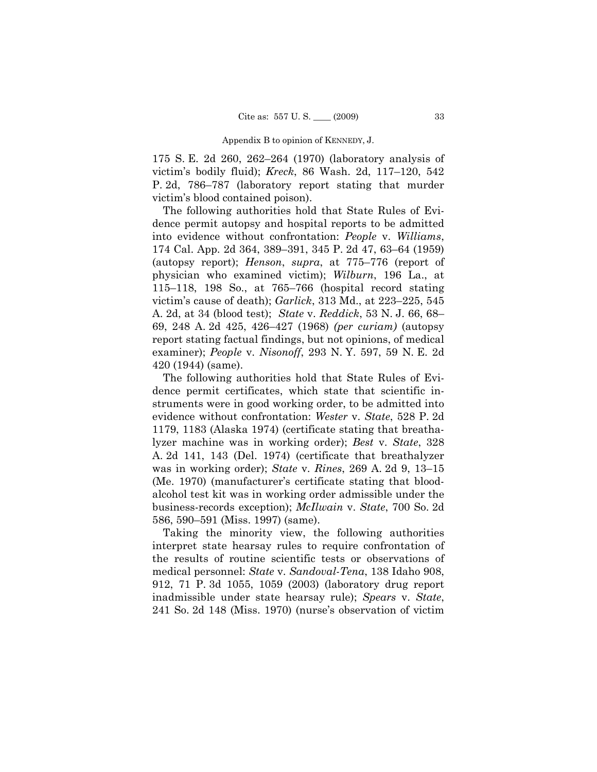175 S. E. 2d 260, 262–264 (1970) (laboratory analysis of victim's bodily fluid); *Kreck*, 86 Wash. 2d, 117–120, 542 P. 2d, 786–787 (laboratory report stating that murder victim's blood contained poison).

 The following authorities hold that State Rules of Evidence permit autopsy and hospital reports to be admitted into evidence without confrontation: *People* v. *Williams*, 174 Cal. App. 2d 364, 389–391, 345 P. 2d 47, 63–64 (1959) (autopsy report); *Henson*, *supra*, at 775–776 (report of physician who examined victim); *Wilburn*, 196 La., at 115–118, 198 So., at 765–766 (hospital record stating victim's cause of death); *Garlick*, 313 Md., at 223–225, 545 A. 2d, at 34 (blood test); *State* v. *Reddick*, 53 N. J. 66, 68– 69, 248 A. 2d 425, 426–427 (1968) *(per curiam)* (autopsy report stating factual findings, but not opinions, of medical examiner); *People* v. *Nisonoff*, 293 N. Y. 597, 59 N. E. 2d 420 (1944) (same).

 The following authorities hold that State Rules of Evidence permit certificates, which state that scientific instruments were in good working order, to be admitted into evidence without confrontation: *Wester* v. *State*, 528 P. 2d 1179, 1183 (Alaska 1974) (certificate stating that breathalyzer machine was in working order); *Best* v. *State*, 328 A. 2d 141, 143 (Del. 1974) (certificate that breathalyzer was in working order); *State* v. *Rines*, 269 A. 2d 9, 13–15 (Me. 1970) (manufacturer's certificate stating that bloodalcohol test kit was in working order admissible under the business-records exception); *McIlwain* v. *State*, 700 So. 2d 586, 590–591 (Miss. 1997) (same).

 Taking the minority view, the following authorities interpret state hearsay rules to require confrontation of the results of routine scientific tests or observations of medical personnel: *State* v. *Sandoval-Tena*, 138 Idaho 908, 912, 71 P. 3d 1055, 1059 (2003) (laboratory drug report inadmissible under state hearsay rule); *Spears* v. *State*, 241 So. 2d 148 (Miss. 1970) (nurse's observation of victim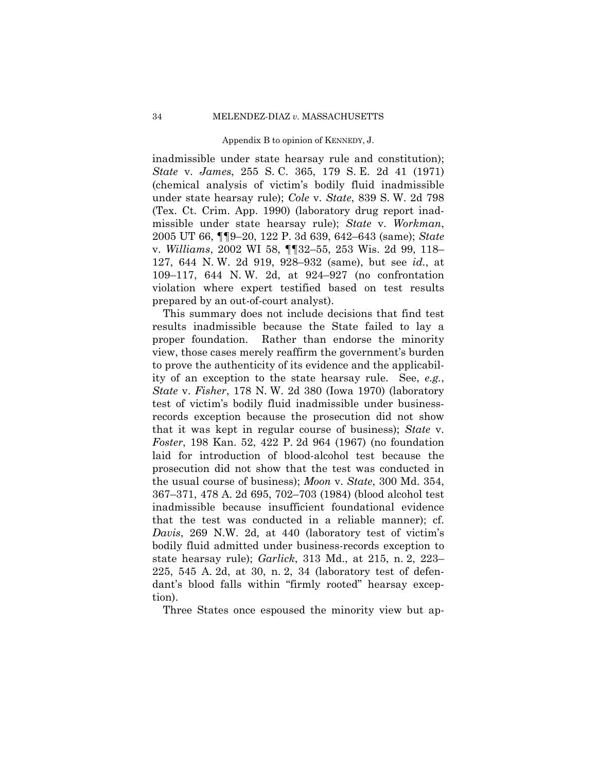inadmissible under state hearsay rule and constitution); *State* v. *James*, 255 S. C. 365, 179 S. E. 2d 41 (1971) (chemical analysis of victim's bodily fluid inadmissible under state hearsay rule); *Cole* v. *State*, 839 S. W. 2d 798 (Tex. Ct. Crim. App. 1990) (laboratory drug report inadmissible under state hearsay rule); *State* v. *Workman*, 2005 UT 66, ¶¶9–20, 122 P. 3d 639, 642–643 (same); *State*  v. *Williams*, 2002 WI 58, ¶¶32–55, 253 Wis. 2d 99, 118– 127, 644 N. W. 2d 919, 928–932 (same), but see *id.*, at 109–117, 644 N. W. 2d, at 924–927 (no confrontation violation where expert testified based on test results prepared by an out-of-court analyst).

 This summary does not include decisions that find test results inadmissible because the State failed to lay a proper foundation. Rather than endorse the minority view, those cases merely reaffirm the government's burden to prove the authenticity of its evidence and the applicability of an exception to the state hearsay rule. See, *e.g.*, *State* v. *Fisher*, 178 N. W. 2d 380 (Iowa 1970) (laboratory test of victim's bodily fluid inadmissible under businessrecords exception because the prosecution did not show that it was kept in regular course of business); *State* v. *Foster*, 198 Kan. 52, 422 P. 2d 964 (1967) (no foundation laid for introduction of blood-alcohol test because the prosecution did not show that the test was conducted in the usual course of business); *Moon* v. *State*, 300 Md. 354, 367–371, 478 A. 2d 695, 702–703 (1984) (blood alcohol test inadmissible because insufficient foundational evidence that the test was conducted in a reliable manner); cf. *Davis*, 269 N.W. 2d*,* at 440 (laboratory test of victim's bodily fluid admitted under business-records exception to state hearsay rule); *Garlick*, 313 Md., at 215, n. 2, 223– 225, 545 A. 2d, at 30, n. 2, 34 (laboratory test of defendant's blood falls within "firmly rooted" hearsay exception).

Three States once espoused the minority view but ap-